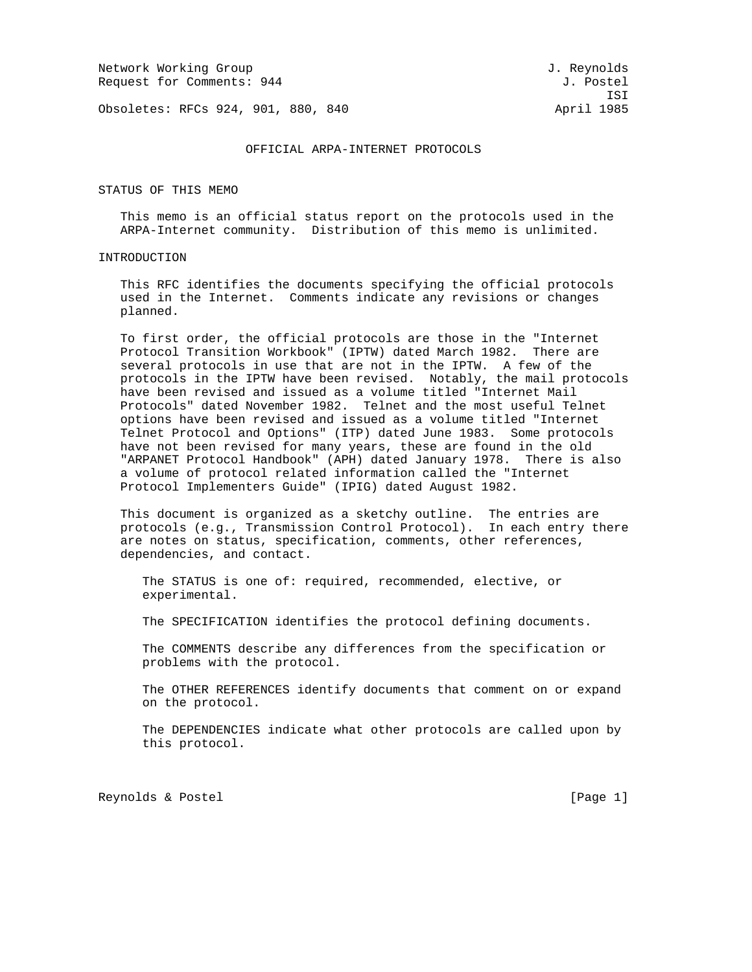Network Working Group and Services and Services and J. Reynolds Request for Comments: 944 J. Postel

ISI

Obsoletes: RFCs 924, 901, 880, 840 April 1985

### OFFICIAL ARPA-INTERNET PROTOCOLS

STATUS OF THIS MEMO

 This memo is an official status report on the protocols used in the ARPA-Internet community. Distribution of this memo is unlimited.

## INTRODUCTION

 This RFC identifies the documents specifying the official protocols used in the Internet. Comments indicate any revisions or changes planned.

 To first order, the official protocols are those in the "Internet Protocol Transition Workbook" (IPTW) dated March 1982. There are several protocols in use that are not in the IPTW. A few of the protocols in the IPTW have been revised. Notably, the mail protocols have been revised and issued as a volume titled "Internet Mail Protocols" dated November 1982. Telnet and the most useful Telnet options have been revised and issued as a volume titled "Internet Telnet Protocol and Options" (ITP) dated June 1983. Some protocols have not been revised for many years, these are found in the old "ARPANET Protocol Handbook" (APH) dated January 1978. There is also a volume of protocol related information called the "Internet Protocol Implementers Guide" (IPIG) dated August 1982.

 This document is organized as a sketchy outline. The entries are protocols (e.g., Transmission Control Protocol). In each entry there are notes on status, specification, comments, other references, dependencies, and contact.

 The STATUS is one of: required, recommended, elective, or experimental.

The SPECIFICATION identifies the protocol defining documents.

 The COMMENTS describe any differences from the specification or problems with the protocol.

 The OTHER REFERENCES identify documents that comment on or expand on the protocol.

 The DEPENDENCIES indicate what other protocols are called upon by this protocol.

Reynolds & Postel [Page 1]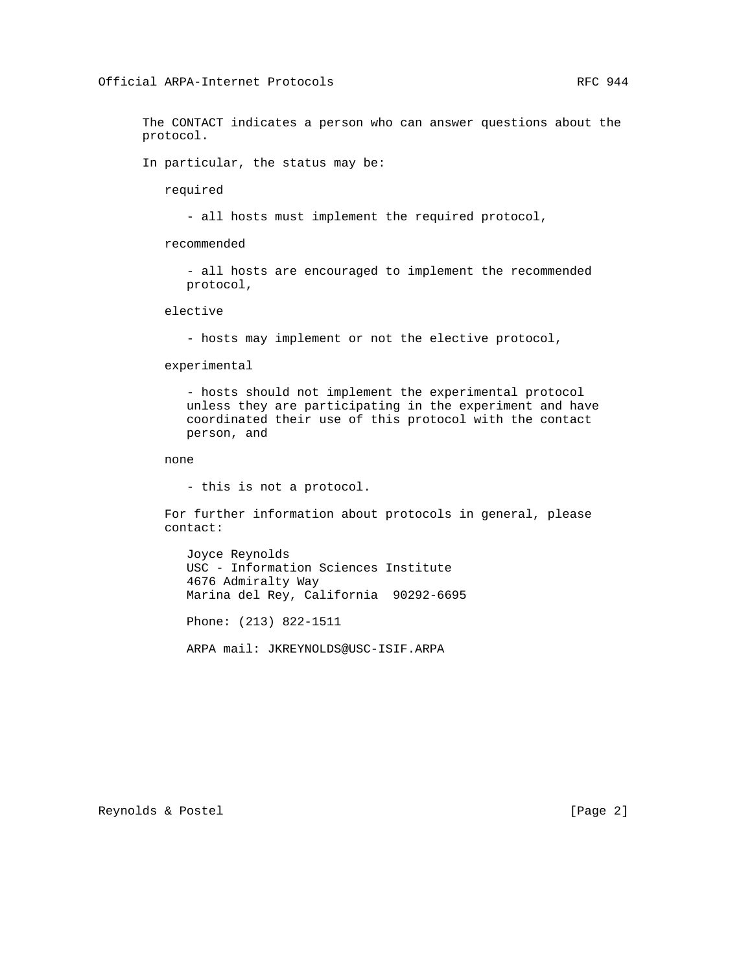The CONTACT indicates a person who can answer questions about the protocol.

In particular, the status may be:

required

- all hosts must implement the required protocol,

recommended

 - all hosts are encouraged to implement the recommended protocol,

elective

- hosts may implement or not the elective protocol,

experimental

 - hosts should not implement the experimental protocol unless they are participating in the experiment and have coordinated their use of this protocol with the contact person, and

none

- this is not a protocol.

 For further information about protocols in general, please contact:

 Joyce Reynolds USC - Information Sciences Institute 4676 Admiralty Way Marina del Rey, California 90292-6695

Phone: (213) 822-1511

ARPA mail: JKREYNOLDS@USC-ISIF.ARPA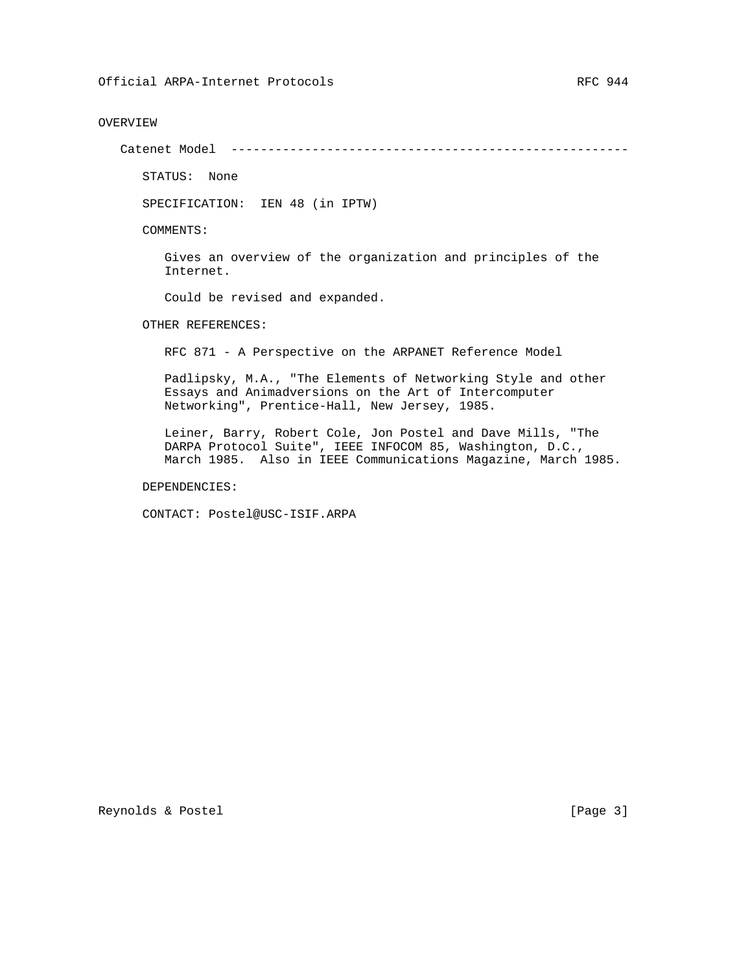## OVERVIEW

Catenet Model ------------------------------------------------------

STATUS: None

SPECIFICATION: IEN 48 (in IPTW)

COMMENTS:

 Gives an overview of the organization and principles of the Internet.

Could be revised and expanded.

OTHER REFERENCES:

RFC 871 - A Perspective on the ARPANET Reference Model

 Padlipsky, M.A., "The Elements of Networking Style and other Essays and Animadversions on the Art of Intercomputer Networking", Prentice-Hall, New Jersey, 1985.

 Leiner, Barry, Robert Cole, Jon Postel and Dave Mills, "The DARPA Protocol Suite", IEEE INFOCOM 85, Washington, D.C., March 1985. Also in IEEE Communications Magazine, March 1985.

DEPENDENCIES:

CONTACT: Postel@USC-ISIF.ARPA

Reynolds & Postel [Page 3]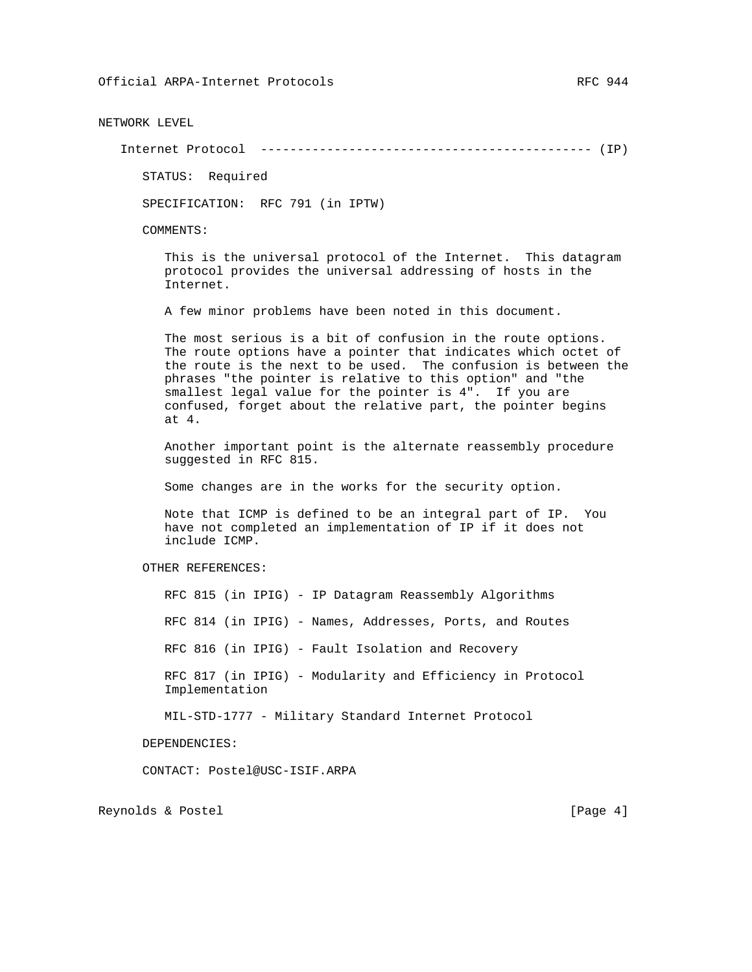NETWORK LEVEL

Internet Protocol --------------------------------------------- (IP)

STATUS: Required

SPECIFICATION: RFC 791 (in IPTW)

COMMENTS:

 This is the universal protocol of the Internet. This datagram protocol provides the universal addressing of hosts in the Internet.

A few minor problems have been noted in this document.

 The most serious is a bit of confusion in the route options. The route options have a pointer that indicates which octet of the route is the next to be used. The confusion is between the phrases "the pointer is relative to this option" and "the smallest legal value for the pointer is 4". If you are confused, forget about the relative part, the pointer begins at 4.

 Another important point is the alternate reassembly procedure suggested in RFC 815.

Some changes are in the works for the security option.

 Note that ICMP is defined to be an integral part of IP. You have not completed an implementation of IP if it does not include ICMP.

OTHER REFERENCES:

 RFC 815 (in IPIG) - IP Datagram Reassembly Algorithms RFC 814 (in IPIG) - Names, Addresses, Ports, and Routes RFC 816 (in IPIG) - Fault Isolation and Recovery RFC 817 (in IPIG) - Modularity and Efficiency in Protocol Implementation MIL-STD-1777 - Military Standard Internet Protocol

DEPENDENCIES:

CONTACT: Postel@USC-ISIF.ARPA

Reynolds & Postel [Page 4]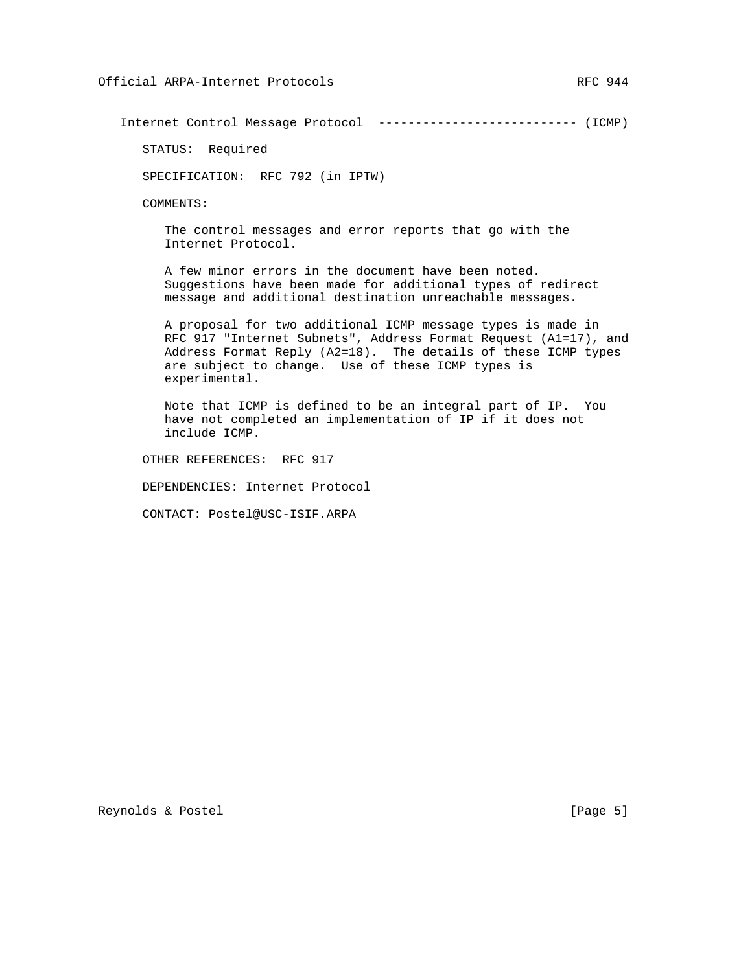Internet Control Message Protocol --------------------------- (ICMP)

STATUS: Required

SPECIFICATION: RFC 792 (in IPTW)

COMMENTS:

 The control messages and error reports that go with the Internet Protocol.

 A few minor errors in the document have been noted. Suggestions have been made for additional types of redirect message and additional destination unreachable messages.

 A proposal for two additional ICMP message types is made in RFC 917 "Internet Subnets", Address Format Request (A1=17), and Address Format Reply (A2=18). The details of these ICMP types are subject to change. Use of these ICMP types is experimental.

 Note that ICMP is defined to be an integral part of IP. You have not completed an implementation of IP if it does not include ICMP.

OTHER REFERENCES: RFC 917

DEPENDENCIES: Internet Protocol

CONTACT: Postel@USC-ISIF.ARPA

Reynolds & Postel [Page 5]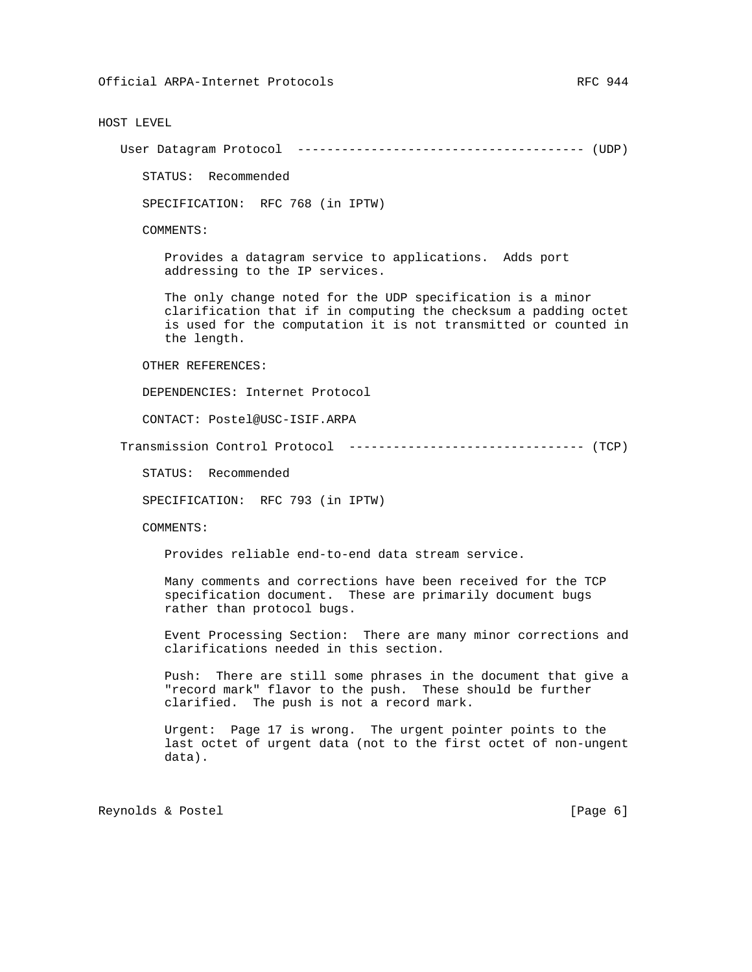HOST LEVEL

User Datagram Protocol --------------------------------------- (UDP)

STATUS: Recommended

SPECIFICATION: RFC 768 (in IPTW)

COMMENTS:

 Provides a datagram service to applications. Adds port addressing to the IP services.

 The only change noted for the UDP specification is a minor clarification that if in computing the checksum a padding octet is used for the computation it is not transmitted or counted in the length.

OTHER REFERENCES:

DEPENDENCIES: Internet Protocol

CONTACT: Postel@USC-ISIF.ARPA

Transmission Control Protocol -------------------------------- (TCP)

STATUS: Recommended

SPECIFICATION: RFC 793 (in IPTW)

COMMENTS:

Provides reliable end-to-end data stream service.

 Many comments and corrections have been received for the TCP specification document. These are primarily document bugs rather than protocol bugs.

 Event Processing Section: There are many minor corrections and clarifications needed in this section.

 Push: There are still some phrases in the document that give a "record mark" flavor to the push. These should be further clarified. The push is not a record mark.

 Urgent: Page 17 is wrong. The urgent pointer points to the last octet of urgent data (not to the first octet of non-ungent data).

Reynolds & Postel [Page 6]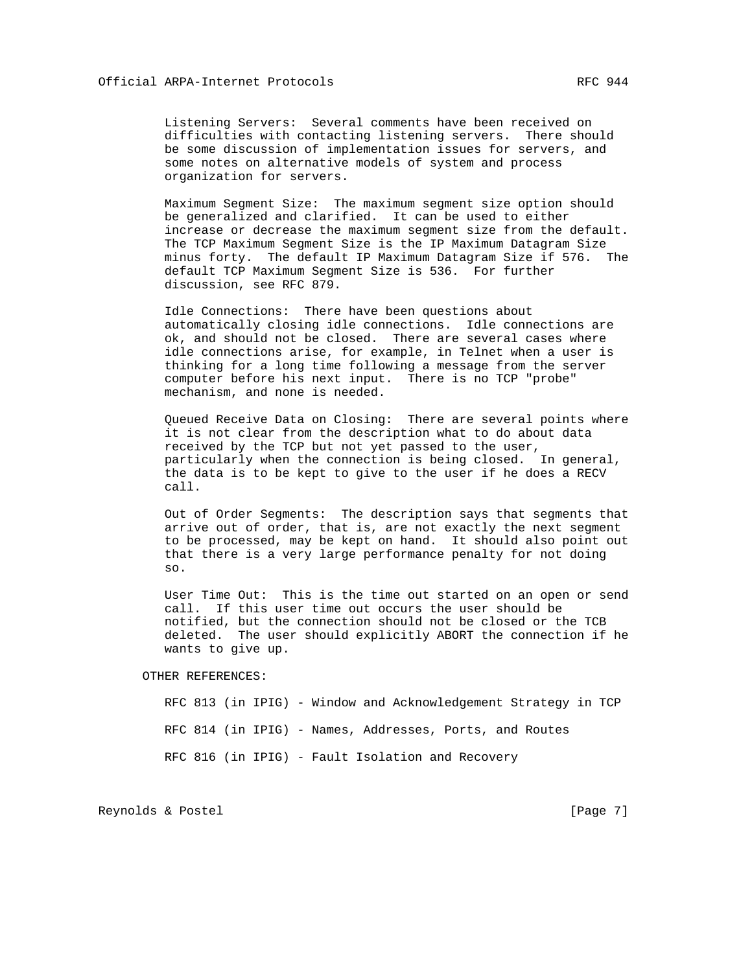Listening Servers: Several comments have been received on difficulties with contacting listening servers. There should be some discussion of implementation issues for servers, and some notes on alternative models of system and process organization for servers.

 Maximum Segment Size: The maximum segment size option should be generalized and clarified. It can be used to either increase or decrease the maximum segment size from the default. The TCP Maximum Segment Size is the IP Maximum Datagram Size minus forty. The default IP Maximum Datagram Size if 576. The default TCP Maximum Segment Size is 536. For further discussion, see RFC 879.

 Idle Connections: There have been questions about automatically closing idle connections. Idle connections are ok, and should not be closed. There are several cases where idle connections arise, for example, in Telnet when a user is thinking for a long time following a message from the server computer before his next input. There is no TCP "probe" mechanism, and none is needed.

 Queued Receive Data on Closing: There are several points where it is not clear from the description what to do about data received by the TCP but not yet passed to the user, particularly when the connection is being closed. In general, the data is to be kept to give to the user if he does a RECV call.

 Out of Order Segments: The description says that segments that arrive out of order, that is, are not exactly the next segment to be processed, may be kept on hand. It should also point out that there is a very large performance penalty for not doing so.

 User Time Out: This is the time out started on an open or send call. If this user time out occurs the user should be notified, but the connection should not be closed or the TCB deleted. The user should explicitly ABORT the connection if he wants to give up.

OTHER REFERENCES:

 RFC 813 (in IPIG) - Window and Acknowledgement Strategy in TCP RFC 814 (in IPIG) - Names, Addresses, Ports, and Routes RFC 816 (in IPIG) - Fault Isolation and Recovery

Reynolds & Postel [Page 7]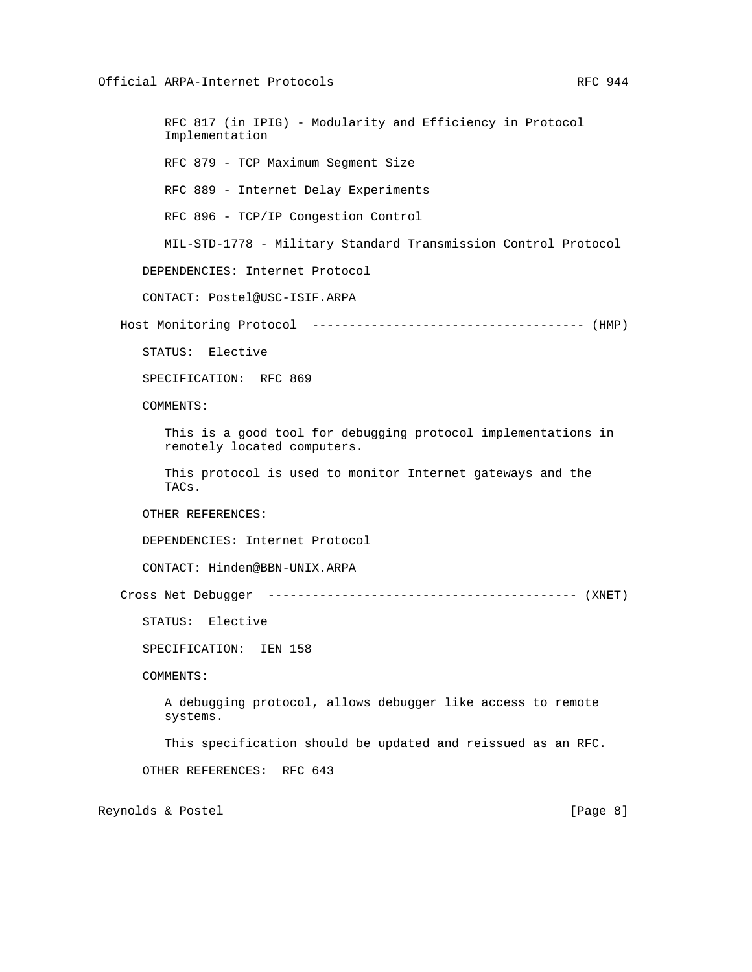RFC 817 (in IPIG) - Modularity and Efficiency in Protocol Implementation RFC 879 - TCP Maximum Segment Size RFC 889 - Internet Delay Experiments RFC 896 - TCP/IP Congestion Control MIL-STD-1778 - Military Standard Transmission Control Protocol DEPENDENCIES: Internet Protocol CONTACT: Postel@USC-ISIF.ARPA Host Monitoring Protocol ------------------------------------- (HMP) STATUS: Elective SPECIFICATION: RFC 869 COMMENTS: This is a good tool for debugging protocol implementations in remotely located computers. This protocol is used to monitor Internet gateways and the TACs. OTHER REFERENCES: DEPENDENCIES: Internet Protocol CONTACT: Hinden@BBN-UNIX.ARPA Cross Net Debugger ------------------------------------------ (XNET) STATUS: Elective SPECIFICATION: IEN 158 COMMENTS: A debugging protocol, allows debugger like access to remote systems. This specification should be updated and reissued as an RFC. OTHER REFERENCES: RFC 643

Reynolds & Postel [Page 8]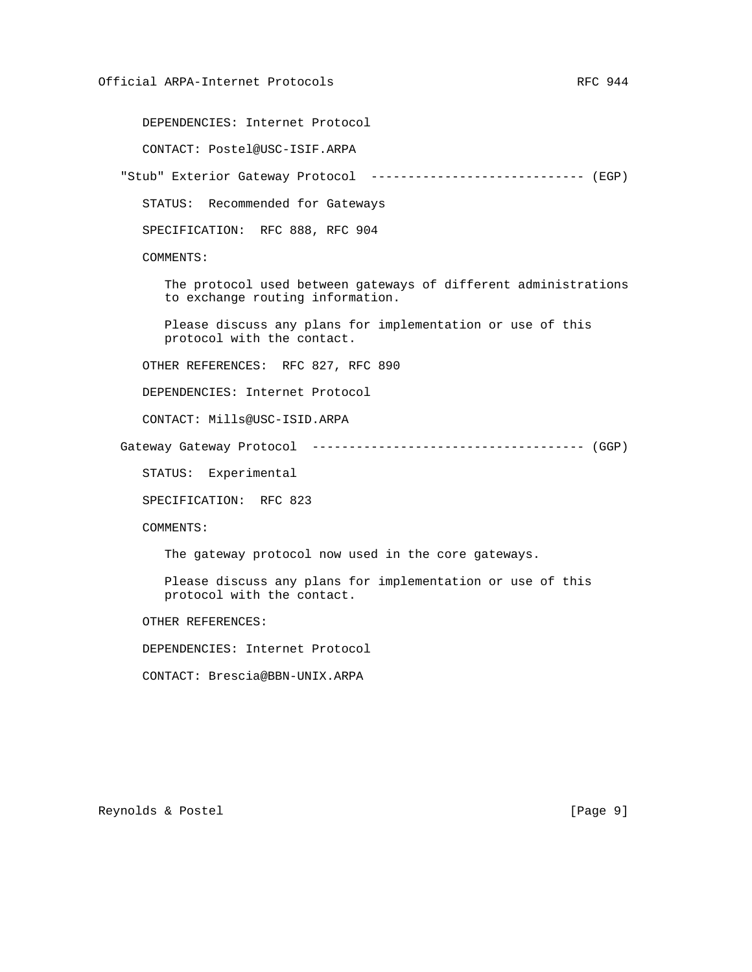DEPENDENCIES: Internet Protocol

CONTACT: Postel@USC-ISIF.ARPA

"Stub" Exterior Gateway Protocol ----------------------------- (EGP)

STATUS: Recommended for Gateways

SPECIFICATION: RFC 888, RFC 904

COMMENTS:

 The protocol used between gateways of different administrations to exchange routing information.

 Please discuss any plans for implementation or use of this protocol with the contact.

OTHER REFERENCES: RFC 827, RFC 890

DEPENDENCIES: Internet Protocol

CONTACT: Mills@USC-ISID.ARPA

Gateway Gateway Protocol ------------------------------------- (GGP)

STATUS: Experimental

SPECIFICATION: RFC 823

COMMENTS:

The gateway protocol now used in the core gateways.

 Please discuss any plans for implementation or use of this protocol with the contact.

OTHER REFERENCES:

DEPENDENCIES: Internet Protocol

CONTACT: Brescia@BBN-UNIX.ARPA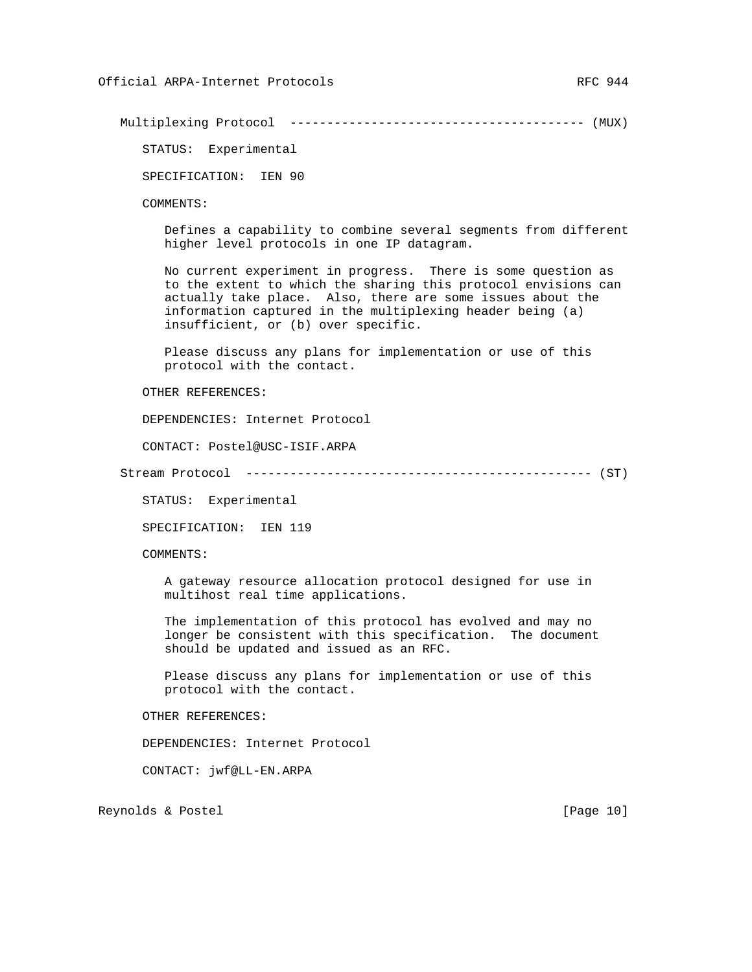Multiplexing Protocol ---------------------------------------- (MUX)

STATUS: Experimental

SPECIFICATION: IEN 90

COMMENTS:

 Defines a capability to combine several segments from different higher level protocols in one IP datagram.

 No current experiment in progress. There is some question as to the extent to which the sharing this protocol envisions can actually take place. Also, there are some issues about the information captured in the multiplexing header being (a) insufficient, or (b) over specific.

 Please discuss any plans for implementation or use of this protocol with the contact.

OTHER REFERENCES:

DEPENDENCIES: Internet Protocol

CONTACT: Postel@USC-ISIF.ARPA

Stream Protocol ----------------------------------------------- (ST)

STATUS: Experimental

SPECIFICATION: IEN 119

COMMENTS:

 A gateway resource allocation protocol designed for use in multihost real time applications.

 The implementation of this protocol has evolved and may no longer be consistent with this specification. The document should be updated and issued as an RFC.

 Please discuss any plans for implementation or use of this protocol with the contact.

OTHER REFERENCES:

DEPENDENCIES: Internet Protocol

CONTACT: jwf@LL-EN.ARPA

Reynolds & Postel [Page 10]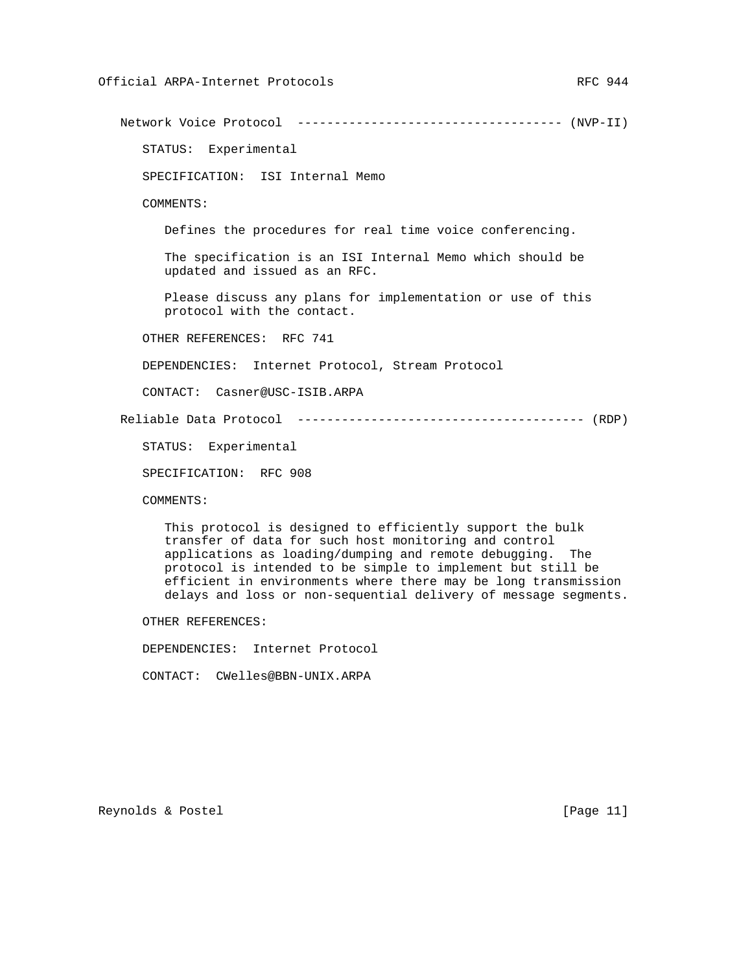Network Voice Protocol ------------------------------------ (NVP-II)

STATUS: Experimental

SPECIFICATION: ISI Internal Memo

COMMENTS:

Defines the procedures for real time voice conferencing.

 The specification is an ISI Internal Memo which should be updated and issued as an RFC.

 Please discuss any plans for implementation or use of this protocol with the contact.

OTHER REFERENCES: RFC 741

DEPENDENCIES: Internet Protocol, Stream Protocol

CONTACT: Casner@USC-ISIB.ARPA

Reliable Data Protocol --------------------------------------- (RDP)

STATUS: Experimental

SPECIFICATION: RFC 908

COMMENTS:

 This protocol is designed to efficiently support the bulk transfer of data for such host monitoring and control applications as loading/dumping and remote debugging. The protocol is intended to be simple to implement but still be efficient in environments where there may be long transmission delays and loss or non-sequential delivery of message segments.

OTHER REFERENCES:

DEPENDENCIES: Internet Protocol

CONTACT: CWelles@BBN-UNIX.ARPA

Reynolds & Postel [Page 11]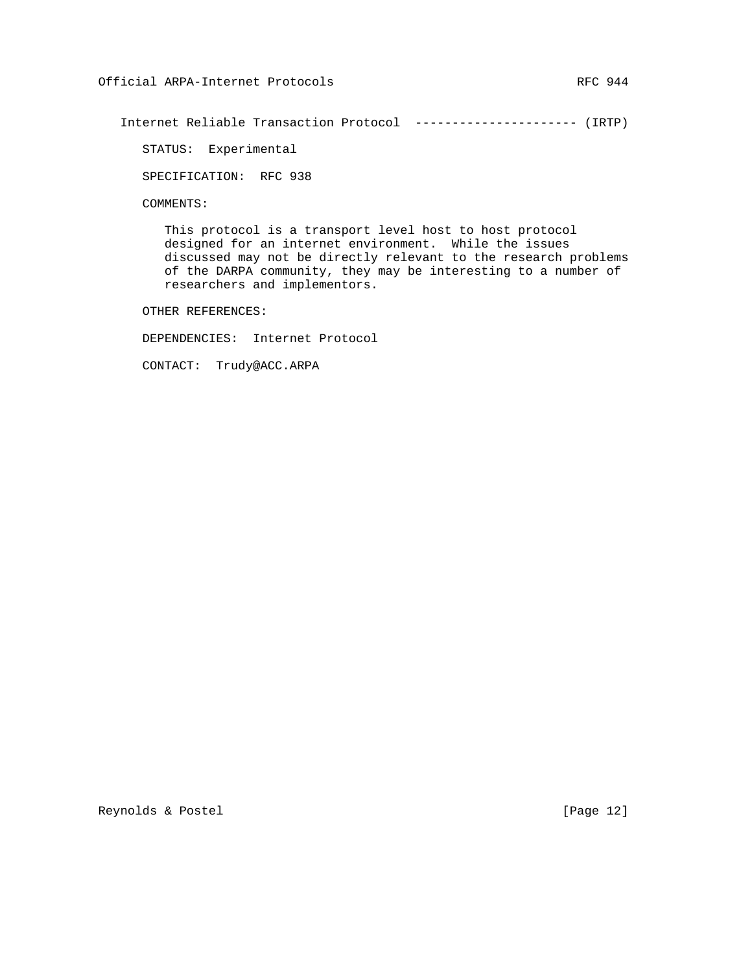Internet Reliable Transaction Protocol ---------------------- (IRTP)

STATUS: Experimental

SPECIFICATION: RFC 938

COMMENTS:

 This protocol is a transport level host to host protocol designed for an internet environment. While the issues discussed may not be directly relevant to the research problems of the DARPA community, they may be interesting to a number of researchers and implementors.

OTHER REFERENCES:

DEPENDENCIES: Internet Protocol

CONTACT: Trudy@ACC.ARPA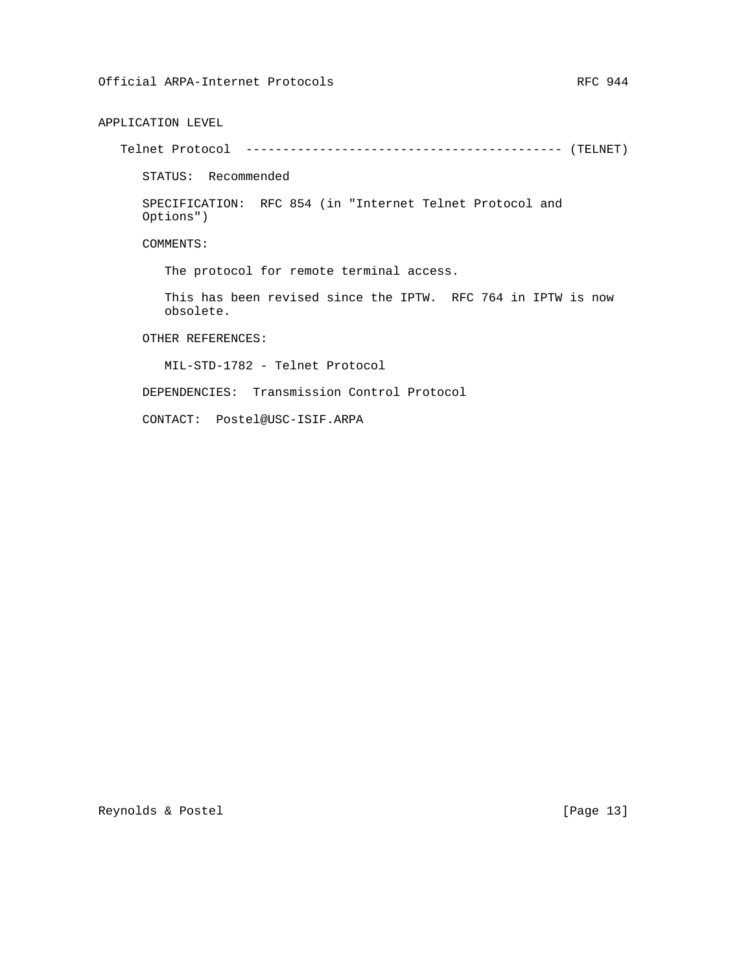# APPLICATION LEVEL

Telnet Protocol ------------------------------------------- (TELNET)

STATUS: Recommended

 SPECIFICATION: RFC 854 (in "Internet Telnet Protocol and Options")

COMMENTS:

The protocol for remote terminal access.

 This has been revised since the IPTW. RFC 764 in IPTW is now obsolete.

OTHER REFERENCES:

MIL-STD-1782 - Telnet Protocol

DEPENDENCIES: Transmission Control Protocol

CONTACT: Postel@USC-ISIF.ARPA

Reynolds & Postel [Page 13]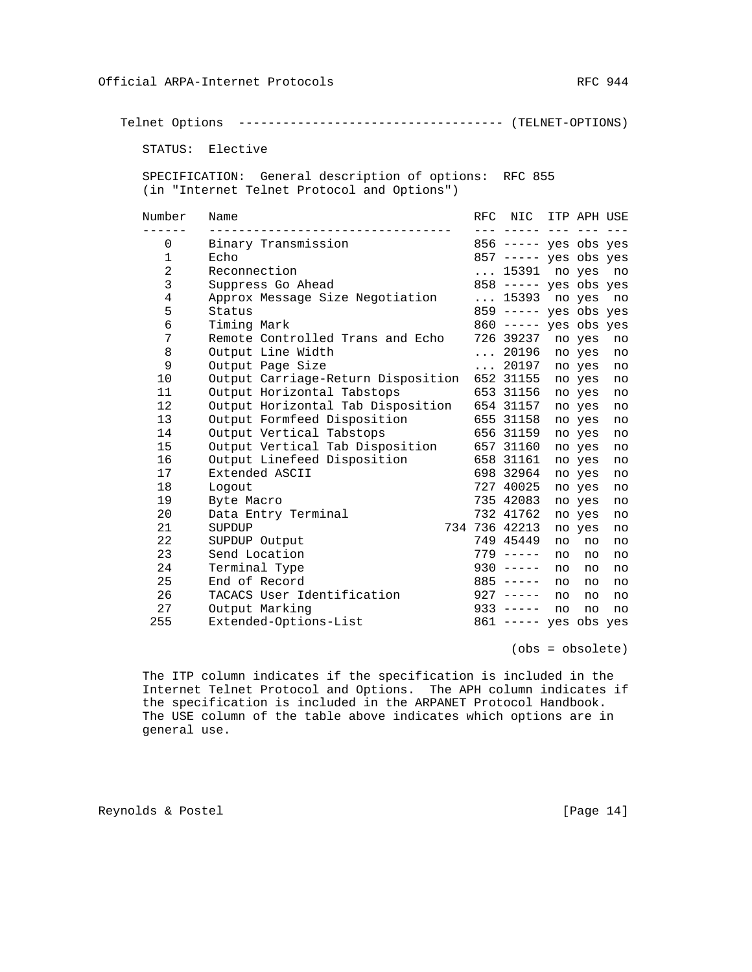Telnet Options ------------------------------------ (TELNET-OPTIONS)

STATUS: Elective

 SPECIFICATION: General description of options: RFC 855 (in "Internet Telnet Protocol and Options")

| Number            | Name                                         | RFC NIC ITP APH USE     |    |        |    |
|-------------------|----------------------------------------------|-------------------------|----|--------|----|
| 0                 | Binary Transmission                          | $856$ ----- yes obs yes |    |        |    |
| $\mathbf{1}$      | Echo                                         | $857$ ----- yes obs yes |    |        |    |
| $\overline{2}$    | Reconnection                                 | 15391 no yes            |    |        | no |
| 3                 | Suppress Go Ahead                            | $858$ ----- yes obs yes |    |        |    |
| 4                 | Approx Message Size Negotiation              | 15393 no yes            |    |        | no |
| 5                 | Status                                       | $859$ ----- yes obs yes |    |        |    |
| 6                 | Timing Mark                                  | 860 ----- yes obs yes   |    |        |    |
| 7                 | Remote Controlled Trans and Echo             | 726 39237               |    | no yes | no |
| 8                 | Output Line Width                            | 20196                   |    | no yes | no |
| 9                 | Output Page Size                             | $\ldots$ 20197          |    | no yes | no |
| 10                | Output Carriage-Return Disposition 652 31155 |                         |    | no yes | no |
| 11                | Output Horizontal Tabstops                   | 653 31156               |    | no yes | no |
| $12 \overline{ }$ | Output Horizontal Tab Disposition 654 31157  |                         |    | no yes | no |
| 13                | Output Formfeed Disposition 655 31158        |                         |    | no yes | no |
| 14                | Output Vertical Tabstops                     | 656 31159               |    | no yes | no |
| 15                | Output Vertical Tab Disposition 657 31160    |                         |    | no yes | no |
| 16                | Output Linefeed Disposition                  | 658 31161               |    | no yes | no |
| 17                | Extended ASCII                               | 698 32964               |    | no yes | no |
| 18                | Logout                                       | 727 40025               |    | no yes | no |
| 19                | Byte Macro                                   | 735 42083               |    | no yes | no |
| 20                | Data Entry Terminal                          | 732 41762               |    | no yes | no |
| 21                | SUPDUP                                       | 734 736 42213           |    | no yes | no |
| 22                | SUPDUP Output                                | 749 45449               | no | no     | no |
| 23                | Send Location                                | $779$ -----             | no | no     | no |
| 24                | Terminal Type                                | $930$ -----             | no | no     | no |
| 25                | End of Record                                | $885$ -----             | no | no     | no |
| 26                | TACACS User Identification                   | $927 - - - -$           | no | no     | no |
| 27                | Output Marking                               | $933$ -----             | no | no     | no |
| 255               | Extended-Options-List                        | $861$ ----- yes obs yes |    |        |    |

(obs = obsolete)

 The ITP column indicates if the specification is included in the Internet Telnet Protocol and Options. The APH column indicates if the specification is included in the ARPANET Protocol Handbook. The USE column of the table above indicates which options are in general use.

Reynolds & Postel [Page 14]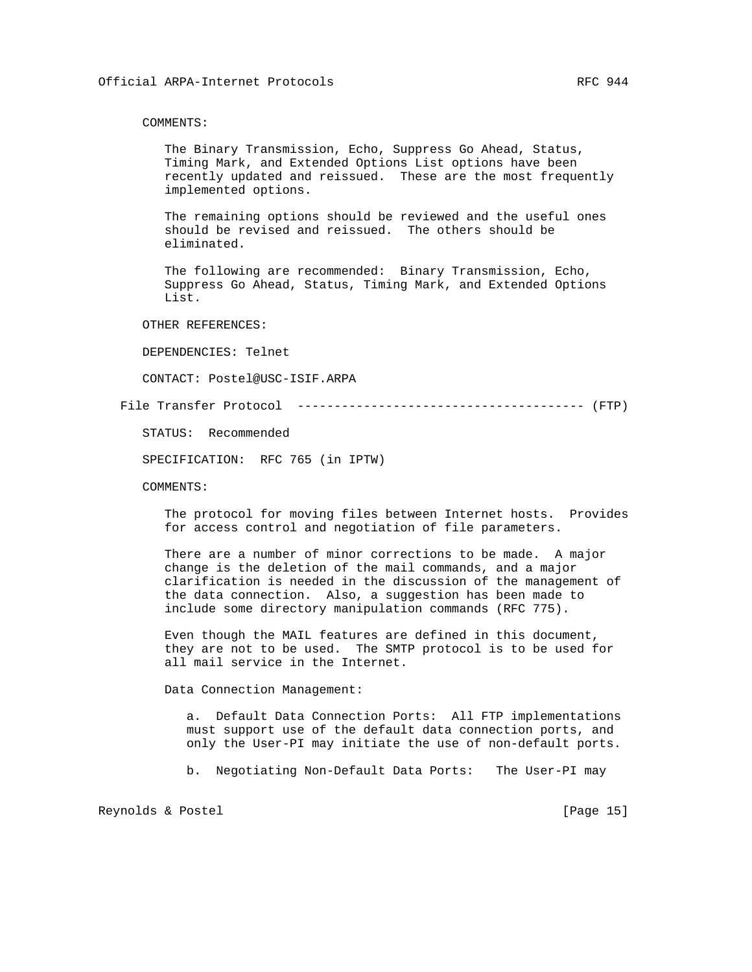### COMMENTS:

 The Binary Transmission, Echo, Suppress Go Ahead, Status, Timing Mark, and Extended Options List options have been recently updated and reissued. These are the most frequently implemented options.

 The remaining options should be reviewed and the useful ones should be revised and reissued. The others should be eliminated.

 The following are recommended: Binary Transmission, Echo, Suppress Go Ahead, Status, Timing Mark, and Extended Options List.

OTHER REFERENCES:

DEPENDENCIES: Telnet

CONTACT: Postel@USC-ISIF.ARPA

File Transfer Protocol --------------------------------------- (FTP)

STATUS: Recommended

SPECIFICATION: RFC 765 (in IPTW)

COMMENTS:

 The protocol for moving files between Internet hosts. Provides for access control and negotiation of file parameters.

 There are a number of minor corrections to be made. A major change is the deletion of the mail commands, and a major clarification is needed in the discussion of the management of the data connection. Also, a suggestion has been made to include some directory manipulation commands (RFC 775).

 Even though the MAIL features are defined in this document, they are not to be used. The SMTP protocol is to be used for all mail service in the Internet.

Data Connection Management:

 a. Default Data Connection Ports: All FTP implementations must support use of the default data connection ports, and only the User-PI may initiate the use of non-default ports.

b. Negotiating Non-Default Data Ports: The User-PI may

Reynolds & Postel [Page 15]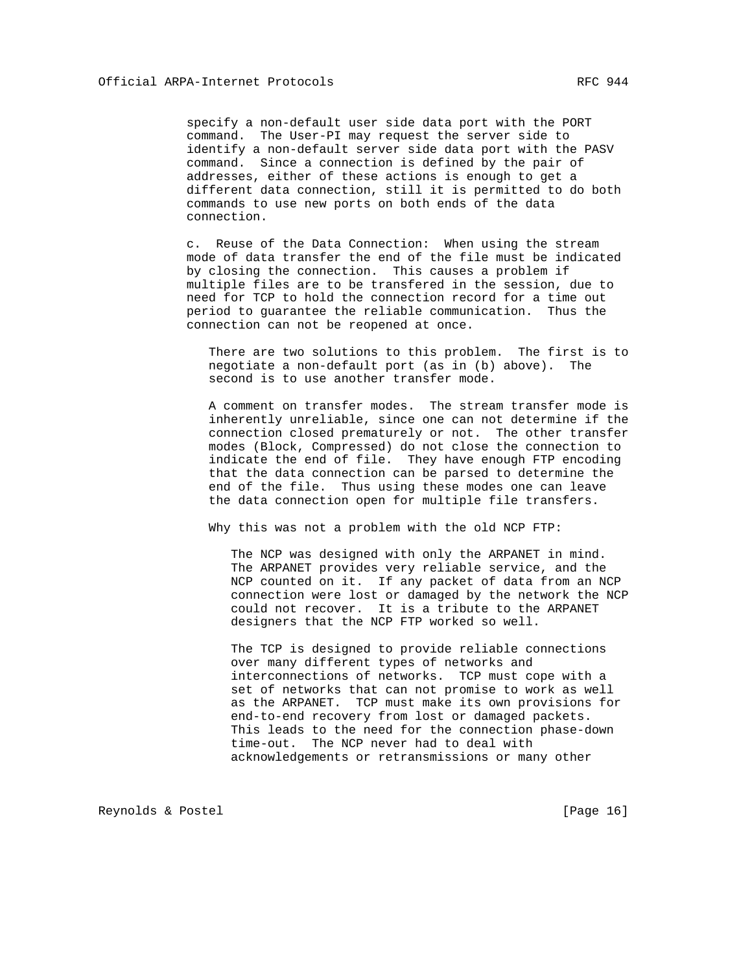specify a non-default user side data port with the PORT command. The User-PI may request the server side to identify a non-default server side data port with the PASV command. Since a connection is defined by the pair of addresses, either of these actions is enough to get a different data connection, still it is permitted to do both commands to use new ports on both ends of the data connection.

 c. Reuse of the Data Connection: When using the stream mode of data transfer the end of the file must be indicated by closing the connection. This causes a problem if multiple files are to be transfered in the session, due to need for TCP to hold the connection record for a time out period to guarantee the reliable communication. Thus the connection can not be reopened at once.

 There are two solutions to this problem. The first is to negotiate a non-default port (as in (b) above). The second is to use another transfer mode.

 A comment on transfer modes. The stream transfer mode is inherently unreliable, since one can not determine if the connection closed prematurely or not. The other transfer modes (Block, Compressed) do not close the connection to indicate the end of file. They have enough FTP encoding that the data connection can be parsed to determine the end of the file. Thus using these modes one can leave the data connection open for multiple file transfers.

Why this was not a problem with the old NCP FTP:

 The NCP was designed with only the ARPANET in mind. The ARPANET provides very reliable service, and the NCP counted on it. If any packet of data from an NCP connection were lost or damaged by the network the NCP could not recover. It is a tribute to the ARPANET designers that the NCP FTP worked so well.

 The TCP is designed to provide reliable connections over many different types of networks and interconnections of networks. TCP must cope with a set of networks that can not promise to work as well as the ARPANET. TCP must make its own provisions for end-to-end recovery from lost or damaged packets. This leads to the need for the connection phase-down time-out. The NCP never had to deal with acknowledgements or retransmissions or many other

Reynolds & Postel [Page 16]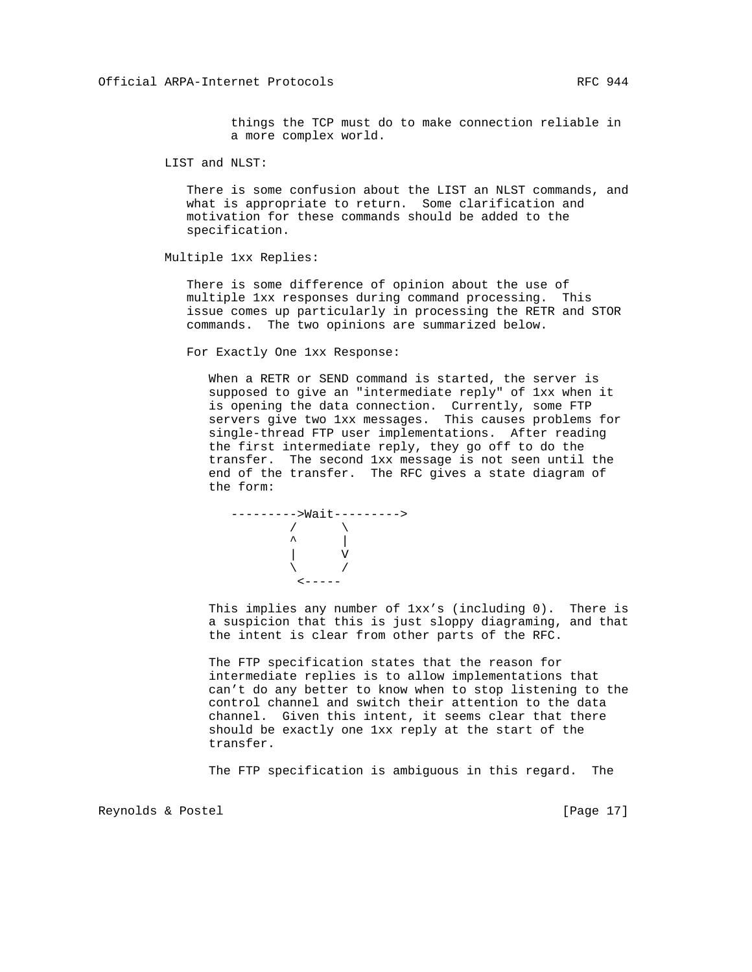things the TCP must do to make connection reliable in a more complex world.

LIST and NLST:

 There is some confusion about the LIST an NLST commands, and what is appropriate to return. Some clarification and motivation for these commands should be added to the specification.

Multiple 1xx Replies:

 There is some difference of opinion about the use of multiple 1xx responses during command processing. This issue comes up particularly in processing the RETR and STOR commands. The two opinions are summarized below.

For Exactly One 1xx Response:

 When a RETR or SEND command is started, the server is supposed to give an "intermediate reply" of 1xx when it is opening the data connection. Currently, some FTP servers give two 1xx messages. This causes problems for single-thread FTP user implementations. After reading the first intermediate reply, they go off to do the transfer. The second 1xx message is not seen until the end of the transfer. The RFC gives a state diagram of the form:



 This implies any number of 1xx's (including 0). There is a suspicion that this is just sloppy diagraming, and that the intent is clear from other parts of the RFC.

 The FTP specification states that the reason for intermediate replies is to allow implementations that can't do any better to know when to stop listening to the control channel and switch their attention to the data channel. Given this intent, it seems clear that there should be exactly one 1xx reply at the start of the transfer.

The FTP specification is ambiguous in this regard. The

Reynolds & Postel [Page 17]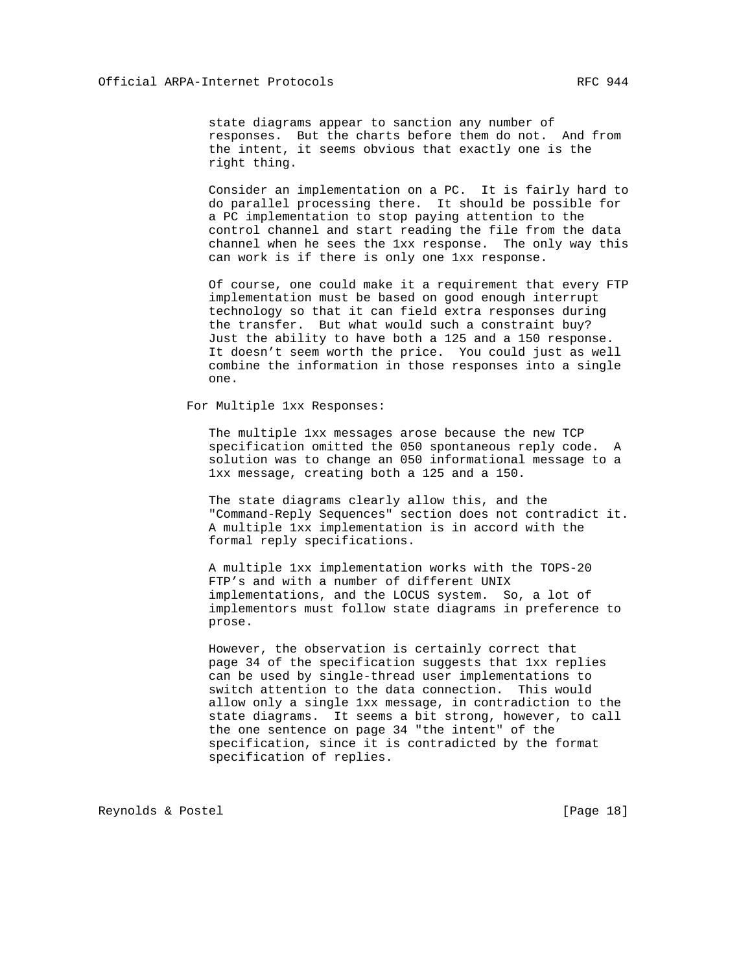state diagrams appear to sanction any number of responses. But the charts before them do not. And from the intent, it seems obvious that exactly one is the right thing.

 Consider an implementation on a PC. It is fairly hard to do parallel processing there. It should be possible for a PC implementation to stop paying attention to the control channel and start reading the file from the data channel when he sees the 1xx response. The only way this can work is if there is only one 1xx response.

 Of course, one could make it a requirement that every FTP implementation must be based on good enough interrupt technology so that it can field extra responses during the transfer. But what would such a constraint buy? Just the ability to have both a 125 and a 150 response. It doesn't seem worth the price. You could just as well combine the information in those responses into a single one.

For Multiple 1xx Responses:

 The multiple 1xx messages arose because the new TCP specification omitted the 050 spontaneous reply code. A solution was to change an 050 informational message to a 1xx message, creating both a 125 and a 150.

 The state diagrams clearly allow this, and the "Command-Reply Sequences" section does not contradict it. A multiple 1xx implementation is in accord with the formal reply specifications.

 A multiple 1xx implementation works with the TOPS-20 FTP's and with a number of different UNIX implementations, and the LOCUS system. So, a lot of implementors must follow state diagrams in preference to prose.

 However, the observation is certainly correct that page 34 of the specification suggests that 1xx replies can be used by single-thread user implementations to switch attention to the data connection. This would allow only a single 1xx message, in contradiction to the state diagrams. It seems a bit strong, however, to call the one sentence on page 34 "the intent" of the specification, since it is contradicted by the format specification of replies.

Reynolds & Postel [Page 18]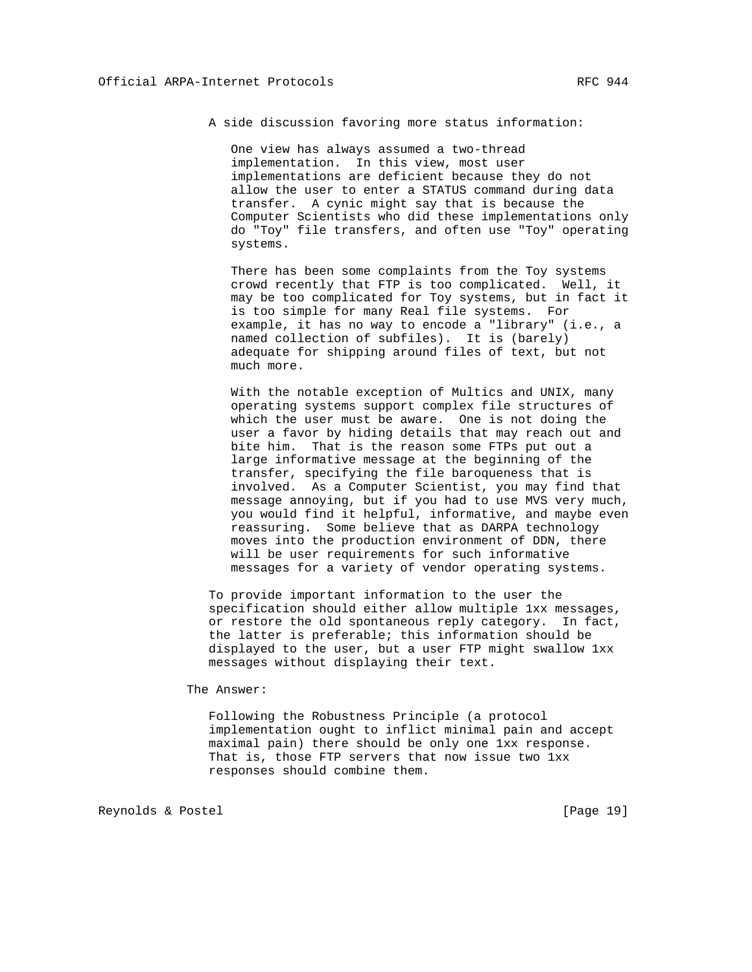A side discussion favoring more status information:

 One view has always assumed a two-thread implementation. In this view, most user implementations are deficient because they do not allow the user to enter a STATUS command during data transfer. A cynic might say that is because the Computer Scientists who did these implementations only do "Toy" file transfers, and often use "Toy" operating systems.

 There has been some complaints from the Toy systems crowd recently that FTP is too complicated. Well, it may be too complicated for Toy systems, but in fact it is too simple for many Real file systems. For example, it has no way to encode a "library" (i.e., a named collection of subfiles). It is (barely) adequate for shipping around files of text, but not much more.

 With the notable exception of Multics and UNIX, many operating systems support complex file structures of which the user must be aware. One is not doing the user a favor by hiding details that may reach out and bite him. That is the reason some FTPs put out a large informative message at the beginning of the transfer, specifying the file baroqueness that is involved. As a Computer Scientist, you may find that message annoying, but if you had to use MVS very much, you would find it helpful, informative, and maybe even reassuring. Some believe that as DARPA technology moves into the production environment of DDN, there will be user requirements for such informative messages for a variety of vendor operating systems.

 To provide important information to the user the specification should either allow multiple 1xx messages, or restore the old spontaneous reply category. In fact, the latter is preferable; this information should be displayed to the user, but a user FTP might swallow 1xx messages without displaying their text.

#### The Answer:

 Following the Robustness Principle (a protocol implementation ought to inflict minimal pain and accept maximal pain) there should be only one 1xx response. That is, those FTP servers that now issue two 1xx responses should combine them.

Reynolds & Postel [Page 19]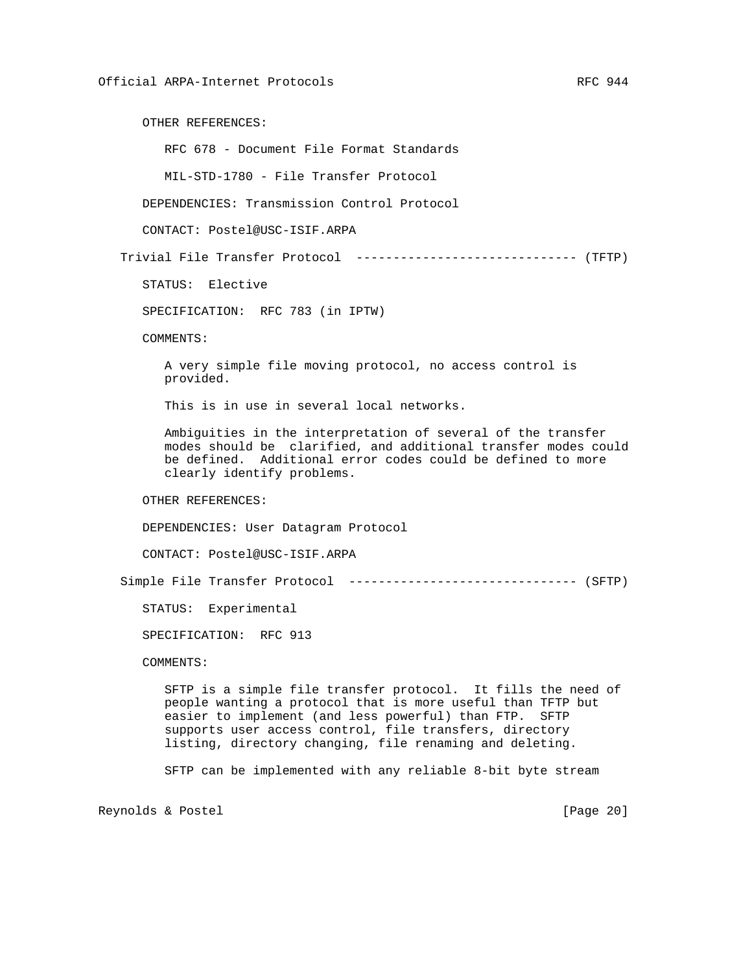OTHER REFERENCES:

RFC 678 - Document File Format Standards

MIL-STD-1780 - File Transfer Protocol

DEPENDENCIES: Transmission Control Protocol

CONTACT: Postel@USC-ISIF.ARPA

Trivial File Transfer Protocol ------------------------------ (TFTP)

STATUS: Elective

SPECIFICATION: RFC 783 (in IPTW)

COMMENTS:

 A very simple file moving protocol, no access control is provided.

This is in use in several local networks.

 Ambiguities in the interpretation of several of the transfer modes should be clarified, and additional transfer modes could be defined. Additional error codes could be defined to more clearly identify problems.

OTHER REFERENCES:

DEPENDENCIES: User Datagram Protocol

CONTACT: Postel@USC-ISIF.ARPA

Simple File Transfer Protocol ------------------------------- (SFTP)

STATUS: Experimental

SPECIFICATION: RFC 913

COMMENTS:

 SFTP is a simple file transfer protocol. It fills the need of people wanting a protocol that is more useful than TFTP but easier to implement (and less powerful) than FTP. SFTP supports user access control, file transfers, directory listing, directory changing, file renaming and deleting.

SFTP can be implemented with any reliable 8-bit byte stream

Reynolds & Postel [Page 20]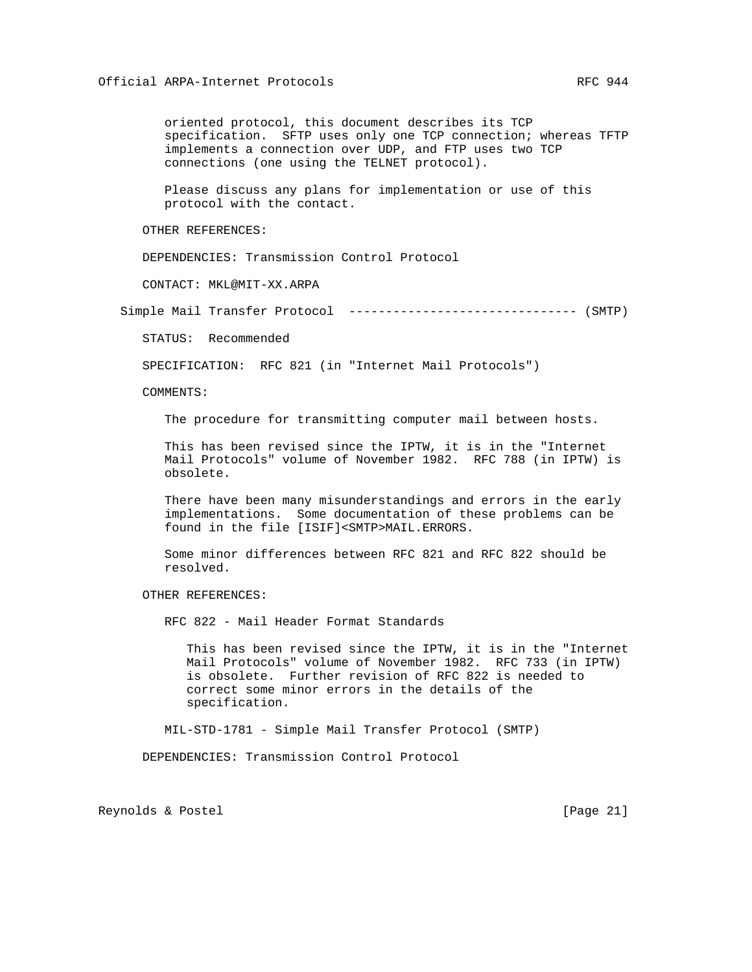oriented protocol, this document describes its TCP specification. SFTP uses only one TCP connection; whereas TFTP implements a connection over UDP, and FTP uses two TCP connections (one using the TELNET protocol).

 Please discuss any plans for implementation or use of this protocol with the contact.

OTHER REFERENCES:

DEPENDENCIES: Transmission Control Protocol

CONTACT: MKL@MIT-XX.ARPA

Simple Mail Transfer Protocol ------------------------------- (SMTP)

STATUS: Recommended

SPECIFICATION: RFC 821 (in "Internet Mail Protocols")

COMMENTS:

The procedure for transmitting computer mail between hosts.

 This has been revised since the IPTW, it is in the "Internet Mail Protocols" volume of November 1982. RFC 788 (in IPTW) is obsolete.

 There have been many misunderstandings and errors in the early implementations. Some documentation of these problems can be found in the file [ISIF]<SMTP>MAIL.ERRORS.

 Some minor differences between RFC 821 and RFC 822 should be resolved.

OTHER REFERENCES:

RFC 822 - Mail Header Format Standards

 This has been revised since the IPTW, it is in the "Internet Mail Protocols" volume of November 1982. RFC 733 (in IPTW) is obsolete. Further revision of RFC 822 is needed to correct some minor errors in the details of the specification.

MIL-STD-1781 - Simple Mail Transfer Protocol (SMTP)

DEPENDENCIES: Transmission Control Protocol

Reynolds & Postel [Page 21]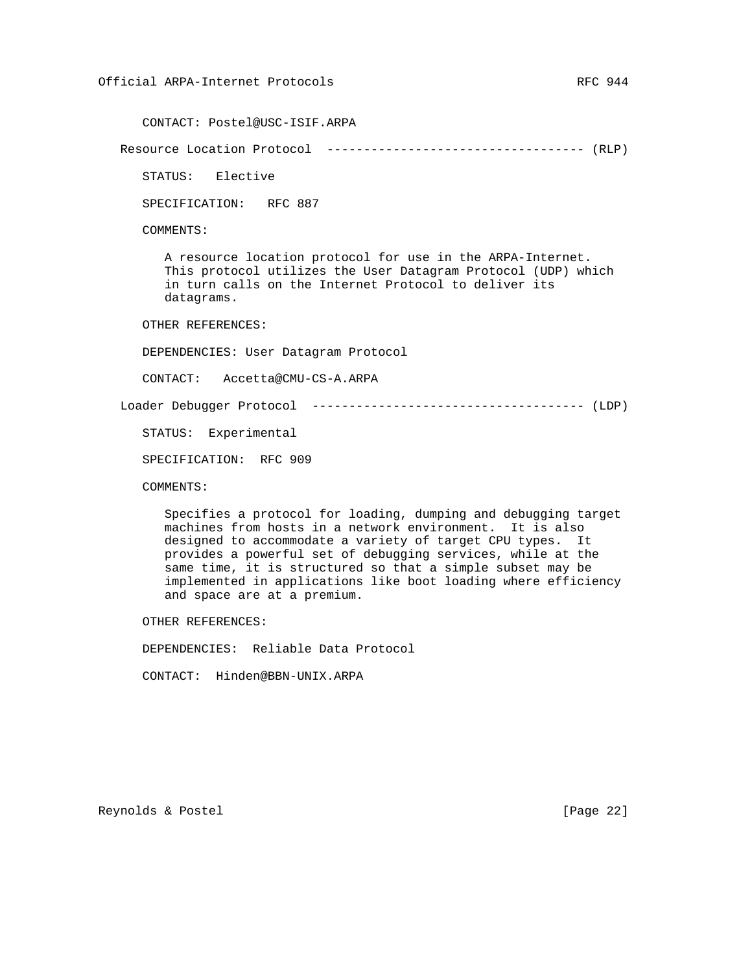CONTACT: Postel@USC-ISIF.ARPA

Resource Location Protocol ----------------------------------- (RLP)

STATUS: Elective

SPECIFICATION: RFC 887

COMMENTS:

 A resource location protocol for use in the ARPA-Internet. This protocol utilizes the User Datagram Protocol (UDP) which in turn calls on the Internet Protocol to deliver its datagrams.

OTHER REFERENCES:

DEPENDENCIES: User Datagram Protocol

CONTACT: Accetta@CMU-CS-A.ARPA

Loader Debugger Protocol ------------------------------------- (LDP)

STATUS: Experimental

SPECIFICATION: RFC 909

COMMENTS:

 Specifies a protocol for loading, dumping and debugging target machines from hosts in a network environment. It is also designed to accommodate a variety of target CPU types. It provides a powerful set of debugging services, while at the same time, it is structured so that a simple subset may be implemented in applications like boot loading where efficiency and space are at a premium.

OTHER REFERENCES:

DEPENDENCIES: Reliable Data Protocol

CONTACT: Hinden@BBN-UNIX.ARPA

Reynolds & Postel [Page 22]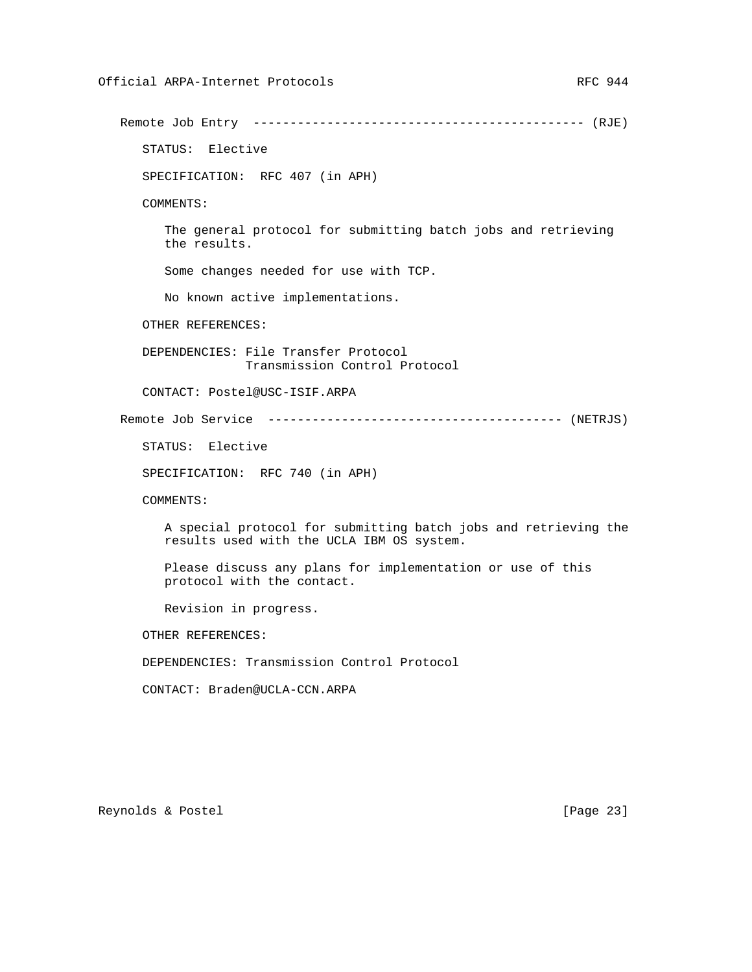Remote Job Entry --------------------------------------------- (RJE) STATUS: Elective SPECIFICATION: RFC 407 (in APH) COMMENTS: The general protocol for submitting batch jobs and retrieving the results. Some changes needed for use with TCP. No known active implementations. OTHER REFERENCES: DEPENDENCIES: File Transfer Protocol Transmission Control Protocol CONTACT: Postel@USC-ISIF.ARPA Remote Job Service ---------------------------------------- (NETRJS) STATUS: Elective SPECIFICATION: RFC 740 (in APH) COMMENTS: A special protocol for submitting batch jobs and retrieving the results used with the UCLA IBM OS system. Please discuss any plans for implementation or use of this protocol with the contact. Revision in progress. OTHER REFERENCES: DEPENDENCIES: Transmission Control Protocol

CONTACT: Braden@UCLA-CCN.ARPA

Reynolds & Postel [Page 23]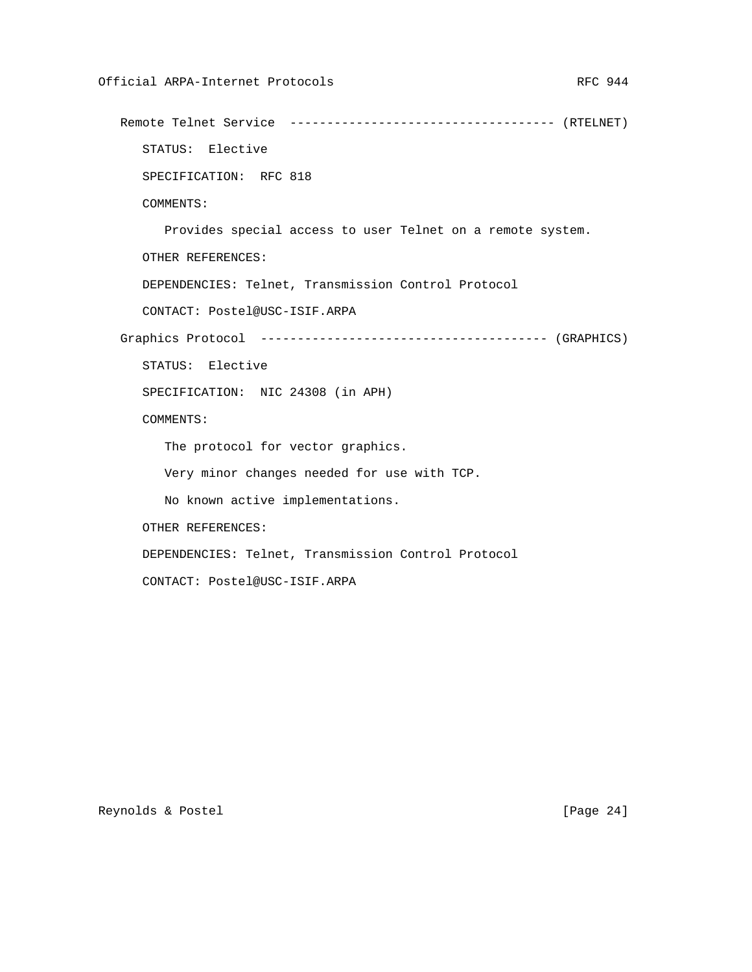Remote Telnet Service ------------------------------------ (RTELNET) STATUS: Elective SPECIFICATION: RFC 818 COMMENTS: Provides special access to user Telnet on a remote system. OTHER REFERENCES: DEPENDENCIES: Telnet, Transmission Control Protocol CONTACT: Postel@USC-ISIF.ARPA Graphics Protocol --------------------------------------- (GRAPHICS) STATUS: Elective SPECIFICATION: NIC 24308 (in APH) COMMENTS: The protocol for vector graphics. Very minor changes needed for use with TCP. No known active implementations. OTHER REFERENCES: DEPENDENCIES: Telnet, Transmission Control Protocol CONTACT: Postel@USC-ISIF.ARPA

Reynolds & Postel [Page 24]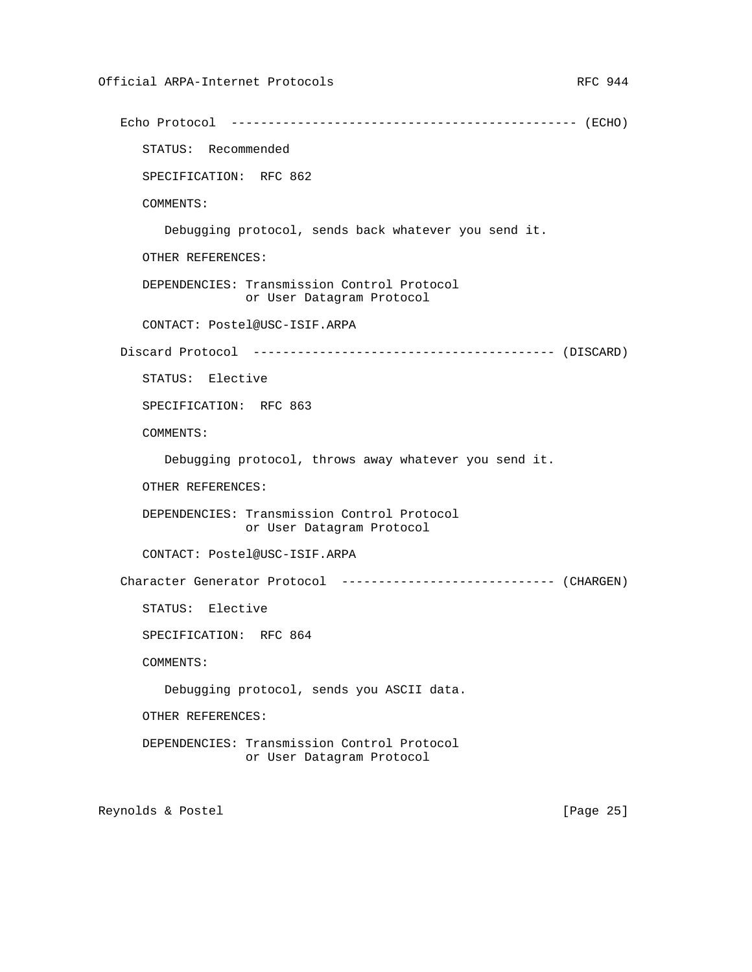```
 Echo Protocol ----------------------------------------------- (ECHO)
   STATUS: Recommended
   SPECIFICATION: RFC 862
   COMMENTS:
      Debugging protocol, sends back whatever you send it.
   OTHER REFERENCES:
   DEPENDENCIES: Transmission Control Protocol
                 or User Datagram Protocol
   CONTACT: Postel@USC-ISIF.ARPA
Discard Protocol ----------------------------------------- (DISCARD)
   STATUS: Elective
   SPECIFICATION: RFC 863
   COMMENTS:
      Debugging protocol, throws away whatever you send it.
   OTHER REFERENCES:
   DEPENDENCIES: Transmission Control Protocol
                or User Datagram Protocol
   CONTACT: Postel@USC-ISIF.ARPA
Character Generator Protocol ----------------------------- (CHARGEN)
   STATUS: Elective
   SPECIFICATION: RFC 864
   COMMENTS:
      Debugging protocol, sends you ASCII data.
   OTHER REFERENCES:
   DEPENDENCIES: Transmission Control Protocol
                 or User Datagram Protocol
```
Reynolds & Postel [Page 25]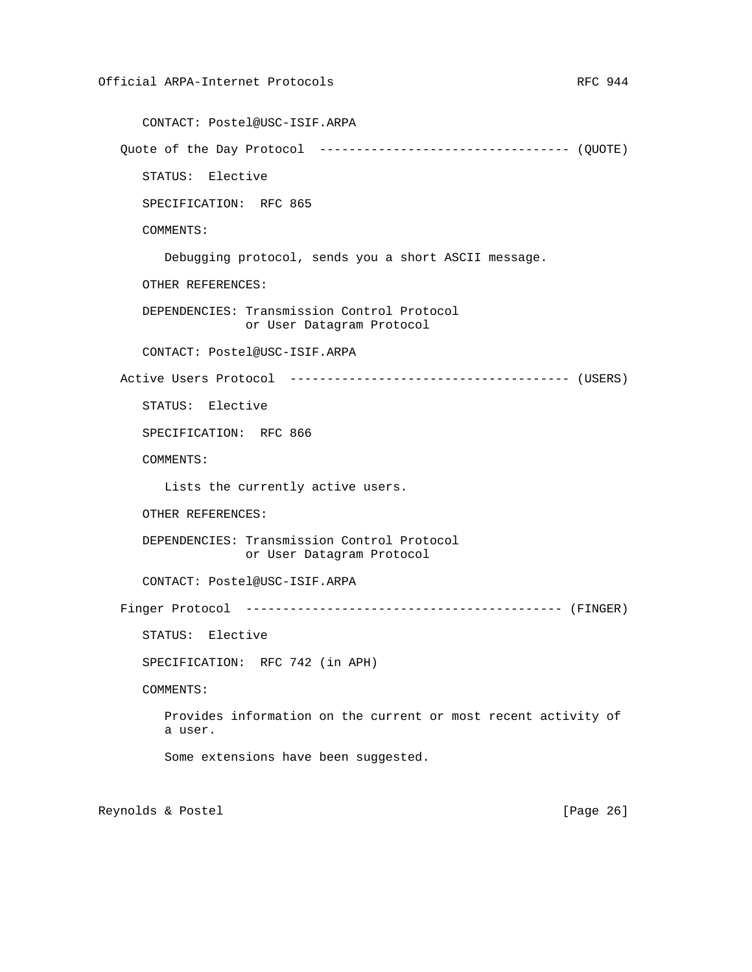CONTACT: Postel@USC-ISIF.ARPA Quote of the Day Protocol ---------------------------------- (QUOTE) STATUS: Elective SPECIFICATION: RFC 865 COMMENTS: Debugging protocol, sends you a short ASCII message. OTHER REFERENCES: DEPENDENCIES: Transmission Control Protocol or User Datagram Protocol CONTACT: Postel@USC-ISIF.ARPA Active Users Protocol -------------------------------------- (USERS) STATUS: Elective SPECIFICATION: RFC 866 COMMENTS: Lists the currently active users. OTHER REFERENCES: DEPENDENCIES: Transmission Control Protocol or User Datagram Protocol CONTACT: Postel@USC-ISIF.ARPA Finger Protocol ------------------------------------------- (FINGER) STATUS: Elective SPECIFICATION: RFC 742 (in APH) COMMENTS: Provides information on the current or most recent activity of a user.

Some extensions have been suggested.

Reynolds & Postel [Page 26]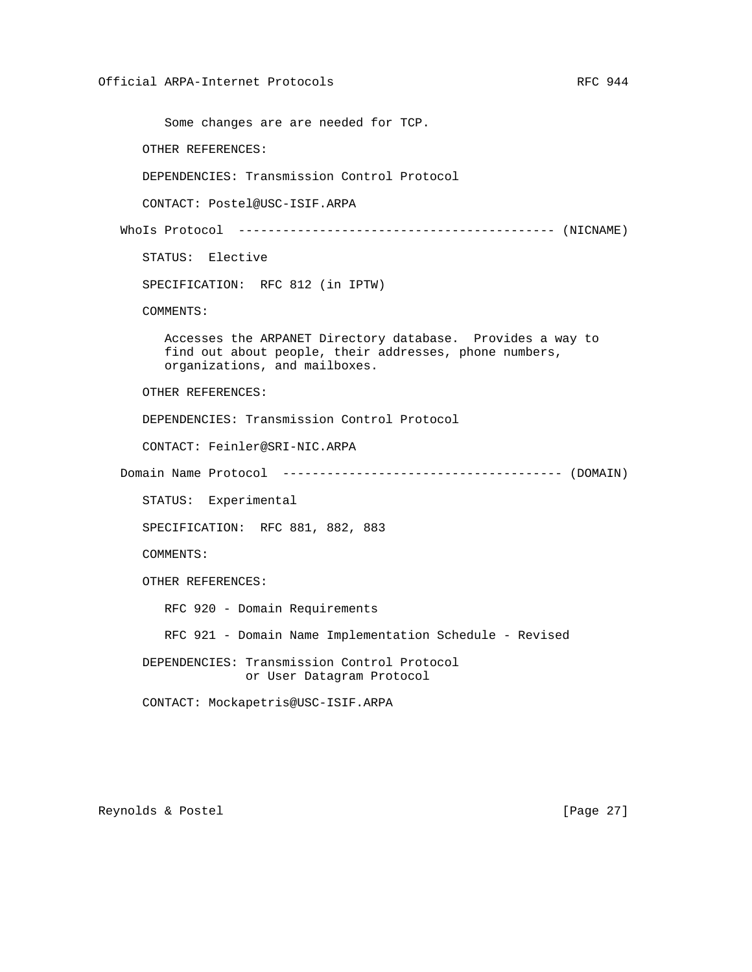Some changes are are needed for TCP. OTHER REFERENCES: DEPENDENCIES: Transmission Control Protocol CONTACT: Postel@USC-ISIF.ARPA WhoIs Protocol ------------------------------------------- (NICNAME) STATUS: Elective SPECIFICATION: RFC 812 (in IPTW) COMMENTS: Accesses the ARPANET Directory database. Provides a way to find out about people, their addresses, phone numbers, organizations, and mailboxes. OTHER REFERENCES: DEPENDENCIES: Transmission Control Protocol CONTACT: Feinler@SRI-NIC.ARPA Domain Name Protocol -------------------------------------- (DOMAIN) STATUS: Experimental SPECIFICATION: RFC 881, 882, 883 COMMENTS: OTHER REFERENCES: RFC 920 - Domain Requirements RFC 921 - Domain Name Implementation Schedule - Revised DEPENDENCIES: Transmission Control Protocol or User Datagram Protocol CONTACT: Mockapetris@USC-ISIF.ARPA

Reynolds & Postel [Page 27]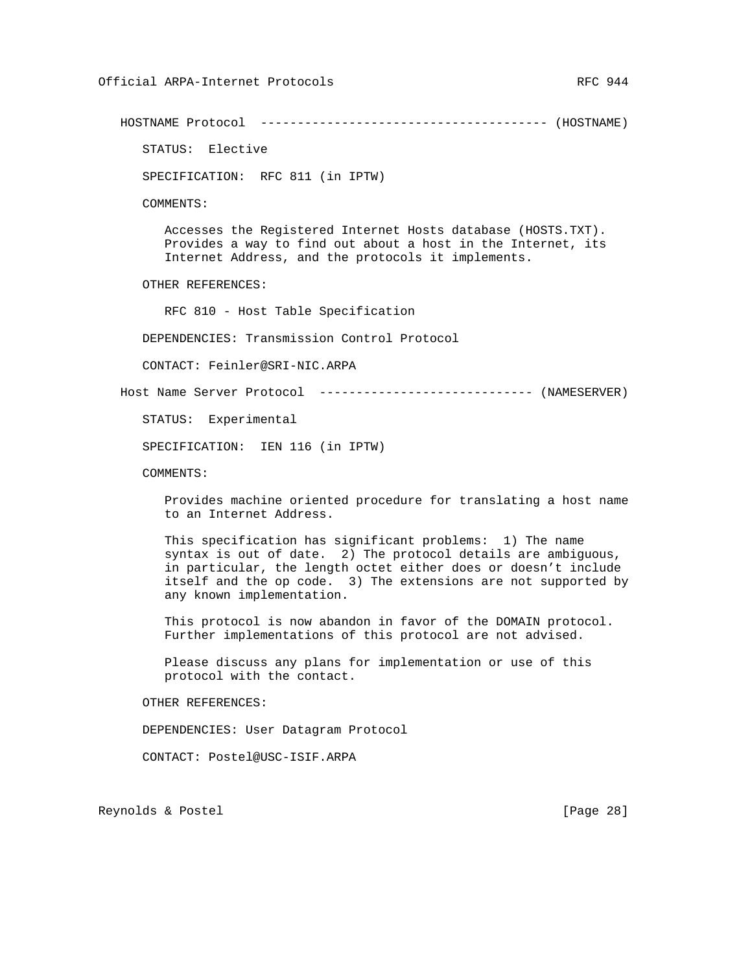HOSTNAME Protocol --------------------------------------- (HOSTNAME)

STATUS: Elective

SPECIFICATION: RFC 811 (in IPTW)

COMMENTS:

 Accesses the Registered Internet Hosts database (HOSTS.TXT). Provides a way to find out about a host in the Internet, its Internet Address, and the protocols it implements.

OTHER REFERENCES:

RFC 810 - Host Table Specification

DEPENDENCIES: Transmission Control Protocol

CONTACT: Feinler@SRI-NIC.ARPA

Host Name Server Protocol ----------------------------- (NAMESERVER)

STATUS: Experimental

SPECIFICATION: IEN 116 (in IPTW)

COMMENTS:

 Provides machine oriented procedure for translating a host name to an Internet Address.

 This specification has significant problems: 1) The name syntax is out of date. 2) The protocol details are ambiguous, in particular, the length octet either does or doesn't include itself and the op code. 3) The extensions are not supported by any known implementation.

 This protocol is now abandon in favor of the DOMAIN protocol. Further implementations of this protocol are not advised.

 Please discuss any plans for implementation or use of this protocol with the contact.

OTHER REFERENCES:

DEPENDENCIES: User Datagram Protocol

CONTACT: Postel@USC-ISIF.ARPA

Reynolds & Postel [Page 28]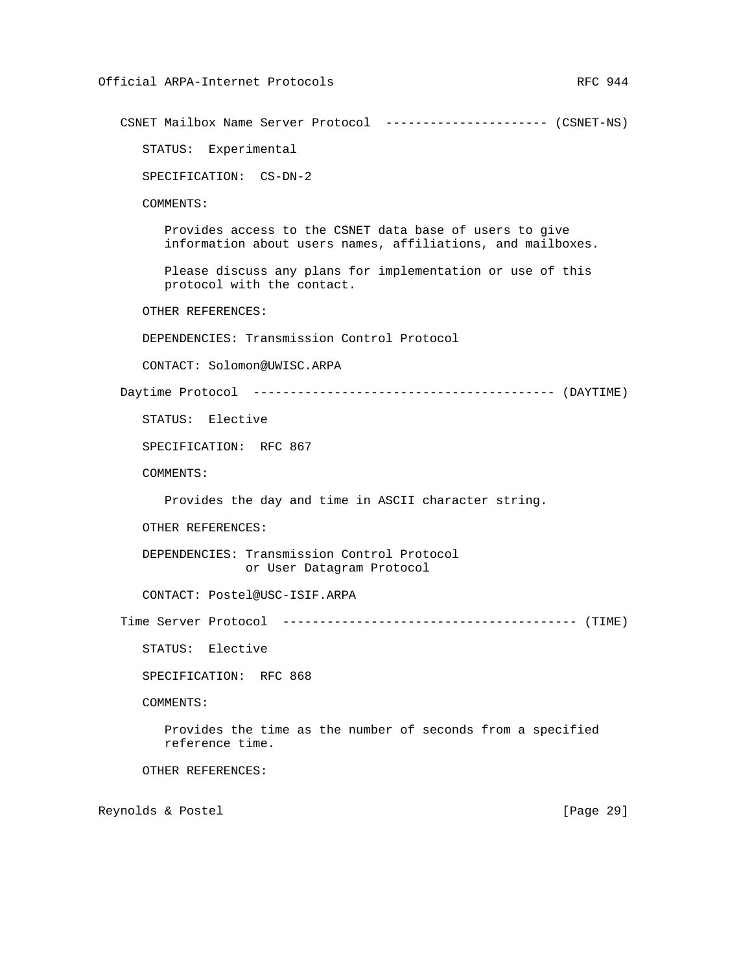CSNET Mailbox Name Server Protocol ---------------------- (CSNET-NS) STATUS: Experimental SPECIFICATION: CS-DN-2 COMMENTS: Provides access to the CSNET data base of users to give information about users names, affiliations, and mailboxes. Please discuss any plans for implementation or use of this protocol with the contact. OTHER REFERENCES: DEPENDENCIES: Transmission Control Protocol CONTACT: Solomon@UWISC.ARPA Daytime Protocol ----------------------------------------- (DAYTIME) STATUS: Elective SPECIFICATION: RFC 867 COMMENTS: Provides the day and time in ASCII character string. OTHER REFERENCES: DEPENDENCIES: Transmission Control Protocol or User Datagram Protocol CONTACT: Postel@USC-ISIF.ARPA Time Server Protocol ---------------------------------------- (TIME) STATUS: Elective SPECIFICATION: RFC 868 COMMENTS: Provides the time as the number of seconds from a specified reference time. OTHER REFERENCES: Reynolds & Postel [Page 29]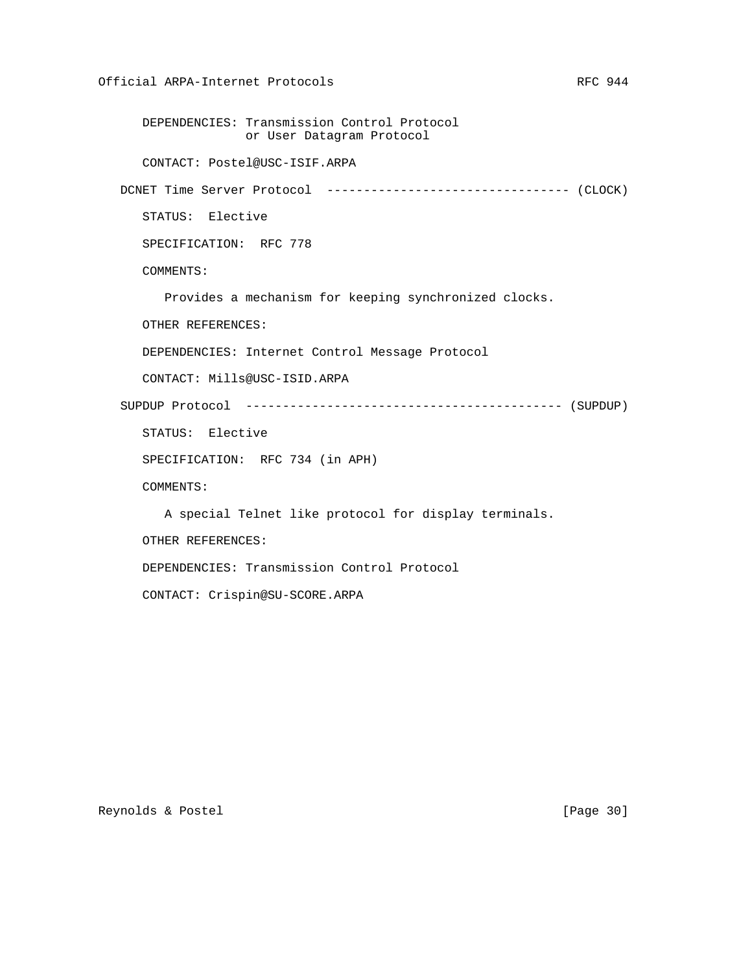DEPENDENCIES: Transmission Control Protocol or User Datagram Protocol CONTACT: Postel@USC-ISIF.ARPA DCNET Time Server Protocol --------------------------------- (CLOCK) STATUS: Elective SPECIFICATION: RFC 778 COMMENTS: Provides a mechanism for keeping synchronized clocks. OTHER REFERENCES: DEPENDENCIES: Internet Control Message Protocol CONTACT: Mills@USC-ISID.ARPA SUPDUP Protocol ------------------------------------------- (SUPDUP) STATUS: Elective SPECIFICATION: RFC 734 (in APH) COMMENTS: A special Telnet like protocol for display terminals. OTHER REFERENCES: DEPENDENCIES: Transmission Control Protocol CONTACT: Crispin@SU-SCORE.ARPA

Reynolds & Postel [Page 30]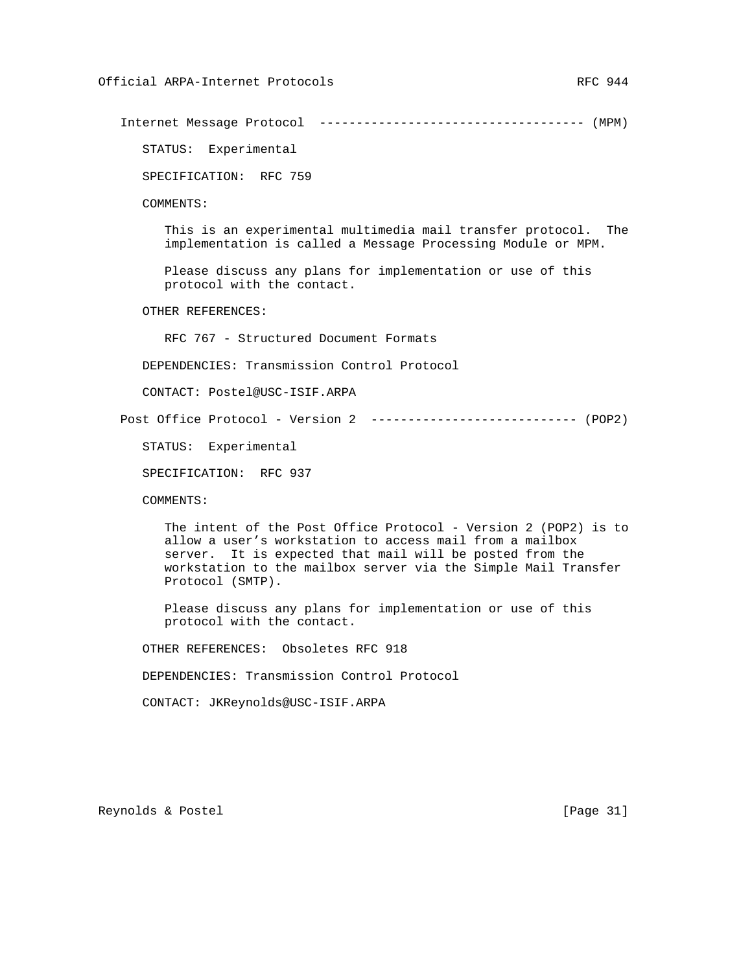Internet Message Protocol ------------------------------------ (MPM)

STATUS: Experimental

SPECIFICATION: RFC 759

COMMENTS:

 This is an experimental multimedia mail transfer protocol. The implementation is called a Message Processing Module or MPM.

 Please discuss any plans for implementation or use of this protocol with the contact.

OTHER REFERENCES:

RFC 767 - Structured Document Formats

DEPENDENCIES: Transmission Control Protocol

CONTACT: Postel@USC-ISIF.ARPA

Post Office Protocol - Version 2 ---------------------------- (POP2)

STATUS: Experimental

SPECIFICATION: RFC 937

COMMENTS:

 The intent of the Post Office Protocol - Version 2 (POP2) is to allow a user's workstation to access mail from a mailbox server. It is expected that mail will be posted from the workstation to the mailbox server via the Simple Mail Transfer Protocol (SMTP).

 Please discuss any plans for implementation or use of this protocol with the contact.

OTHER REFERENCES: Obsoletes RFC 918

DEPENDENCIES: Transmission Control Protocol

CONTACT: JKReynolds@USC-ISIF.ARPA

Reynolds & Postel [Page 31]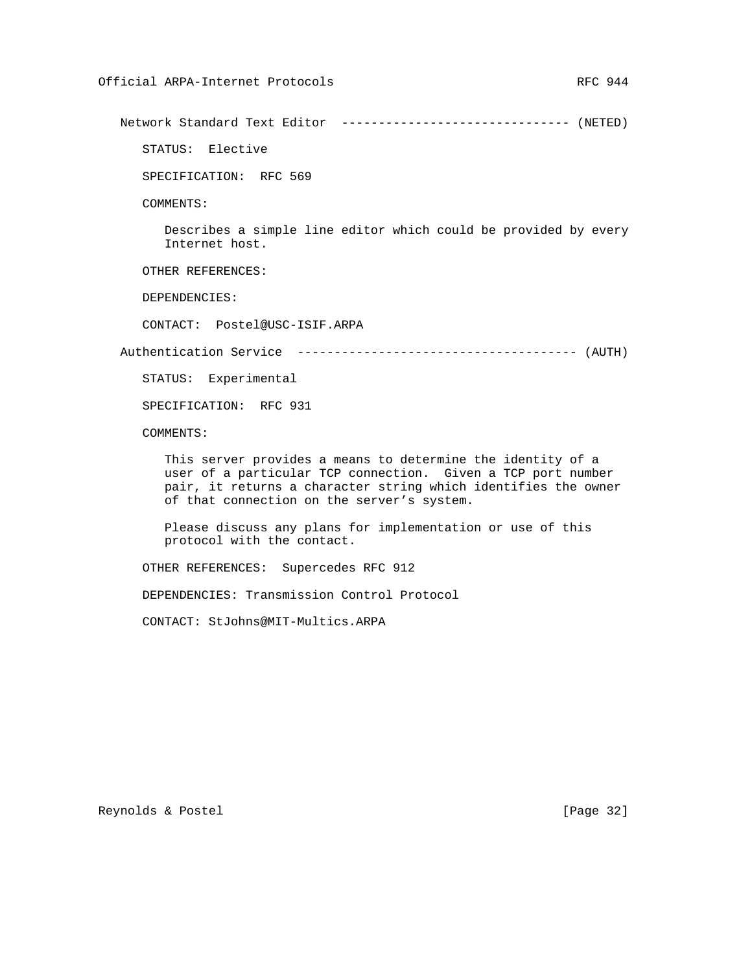Network Standard Text Editor ------------------------------- (NETED)

STATUS: Elective

SPECIFICATION: RFC 569

COMMENTS:

 Describes a simple line editor which could be provided by every Internet host.

OTHER REFERENCES:

DEPENDENCIES:

CONTACT: Postel@USC-ISIF.ARPA

Authentication Service -------------------------------------- (AUTH)

STATUS: Experimental

SPECIFICATION: RFC 931

COMMENTS:

 This server provides a means to determine the identity of a user of a particular TCP connection. Given a TCP port number pair, it returns a character string which identifies the owner of that connection on the server's system.

 Please discuss any plans for implementation or use of this protocol with the contact.

OTHER REFERENCES: Supercedes RFC 912

DEPENDENCIES: Transmission Control Protocol

CONTACT: StJohns@MIT-Multics.ARPA

Reynolds & Postel [Page 32]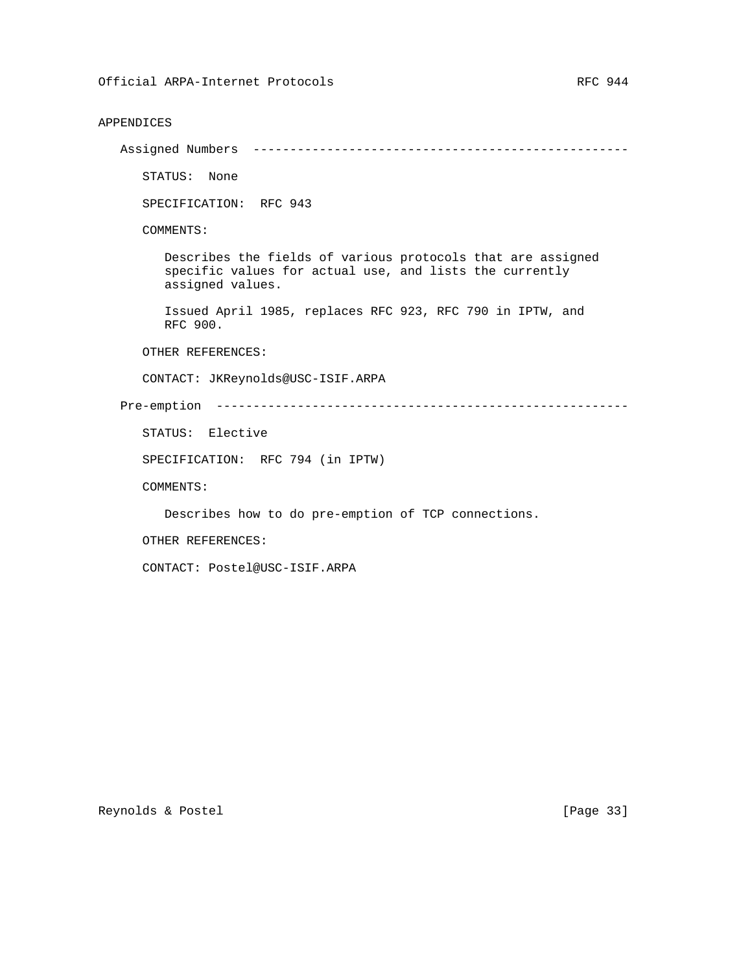# APPENDICES

Assigned Numbers ---------------------------------------------------

STATUS: None

SPECIFICATION: RFC 943

COMMENTS:

 Describes the fields of various protocols that are assigned specific values for actual use, and lists the currently assigned values.

 Issued April 1985, replaces RFC 923, RFC 790 in IPTW, and RFC 900.

OTHER REFERENCES:

CONTACT: JKReynolds@USC-ISIF.ARPA

Pre-emption --------------------------------------------------------

STATUS: Elective

SPECIFICATION: RFC 794 (in IPTW)

COMMENTS:

Describes how to do pre-emption of TCP connections.

OTHER REFERENCES:

CONTACT: Postel@USC-ISIF.ARPA

Reynolds & Postel [Page 33]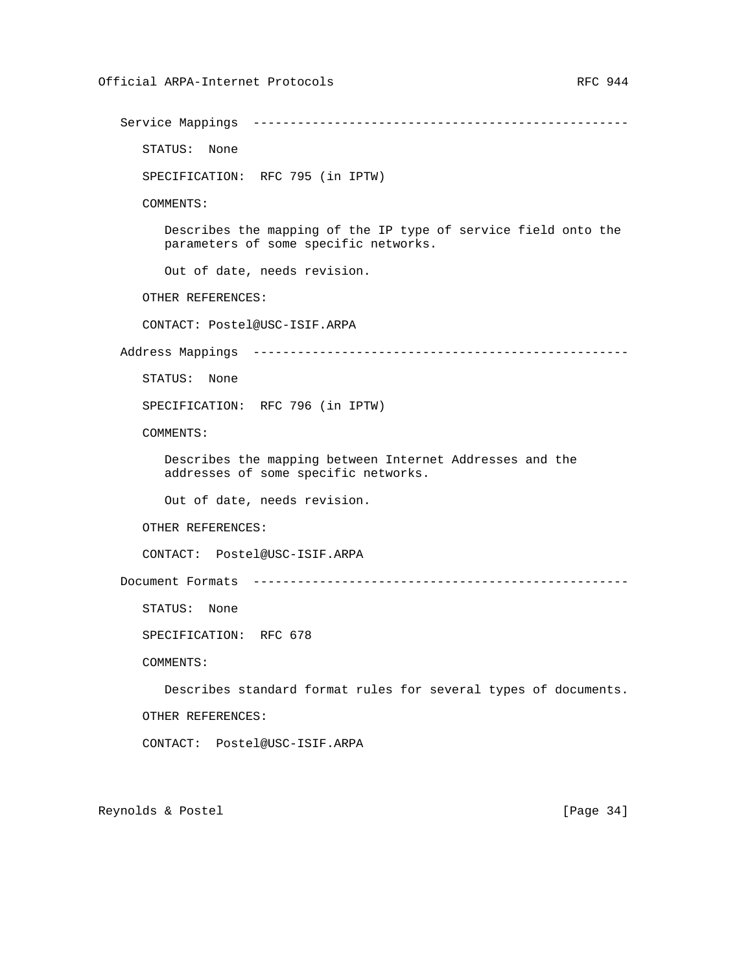Service Mappings --------------------------------------------------- STATUS: None SPECIFICATION: RFC 795 (in IPTW) COMMENTS: Describes the mapping of the IP type of service field onto the parameters of some specific networks. Out of date, needs revision. OTHER REFERENCES: CONTACT: Postel@USC-ISIF.ARPA Address Mappings --------------------------------------------------- STATUS: None SPECIFICATION: RFC 796 (in IPTW) COMMENTS: Describes the mapping between Internet Addresses and the addresses of some specific networks. Out of date, needs revision. OTHER REFERENCES: CONTACT: Postel@USC-ISIF.ARPA Document Formats --------------------------------------------------- STATUS: None SPECIFICATION: RFC 678 COMMENTS: Describes standard format rules for several types of documents. OTHER REFERENCES: CONTACT: Postel@USC-ISIF.ARPA

Reynolds & Postel [Page 34]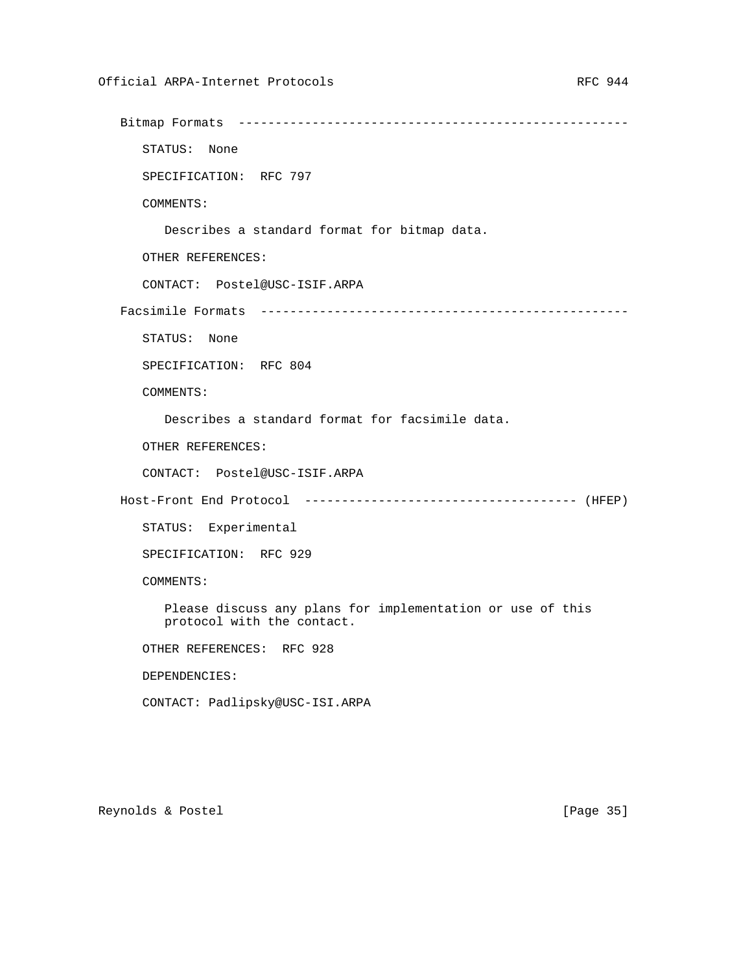```
 Bitmap Formats -----------------------------------------------------
   STATUS: None
   SPECIFICATION: RFC 797
   COMMENTS:
      Describes a standard format for bitmap data.
   OTHER REFERENCES:
   CONTACT: Postel@USC-ISIF.ARPA
Facsimile Formats --------------------------------------------------
   STATUS: None
   SPECIFICATION: RFC 804
   COMMENTS:
      Describes a standard format for facsimile data.
   OTHER REFERENCES:
   CONTACT: Postel@USC-ISIF.ARPA
Host-Front End Protocol ------------------------------------- (HFEP)
   STATUS: Experimental
   SPECIFICATION: RFC 929
   COMMENTS:
      Please discuss any plans for implementation or use of this
      protocol with the contact.
   OTHER REFERENCES: RFC 928
   DEPENDENCIES:
   CONTACT: Padlipsky@USC-ISI.ARPA
```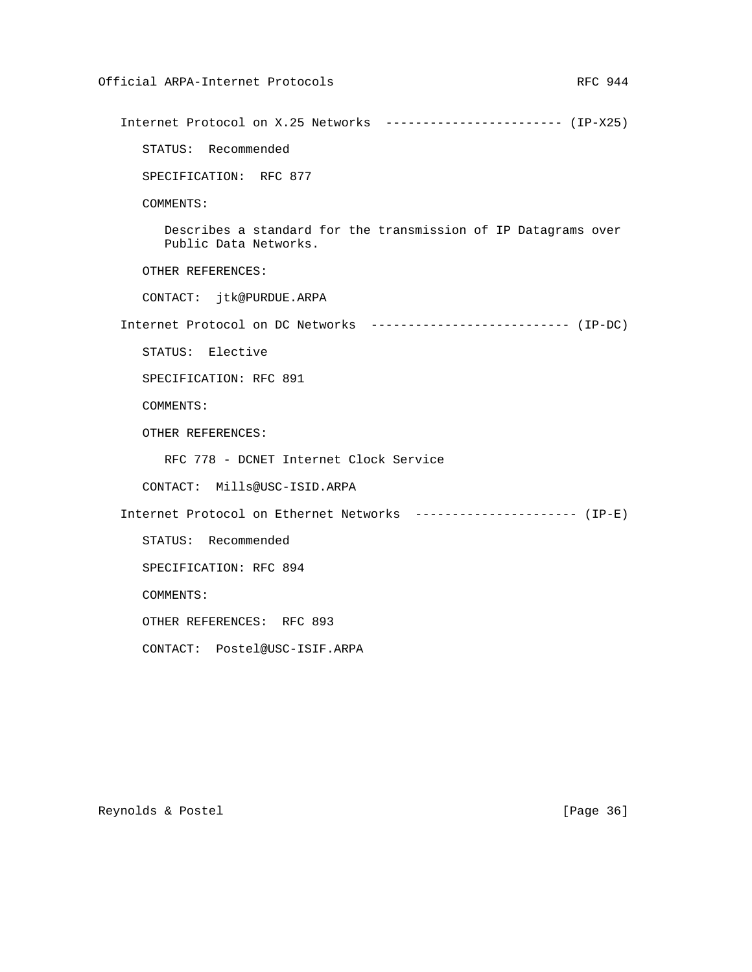Internet Protocol on X.25 Networks ------------------------ (IP-X25) STATUS: Recommended SPECIFICATION: RFC 877 COMMENTS: Describes a standard for the transmission of IP Datagrams over Public Data Networks. OTHER REFERENCES: CONTACT: jtk@PURDUE.ARPA Internet Protocol on DC Networks --------------------------- (IP-DC) STATUS: Elective SPECIFICATION: RFC 891 COMMENTS: OTHER REFERENCES: RFC 778 - DCNET Internet Clock Service CONTACT: Mills@USC-ISID.ARPA Internet Protocol on Ethernet Networks ---------------------- (IP-E) STATUS: Recommended SPECIFICATION: RFC 894 COMMENTS: OTHER REFERENCES: RFC 893

CONTACT: Postel@USC-ISIF.ARPA

Reynolds & Postel [Page 36]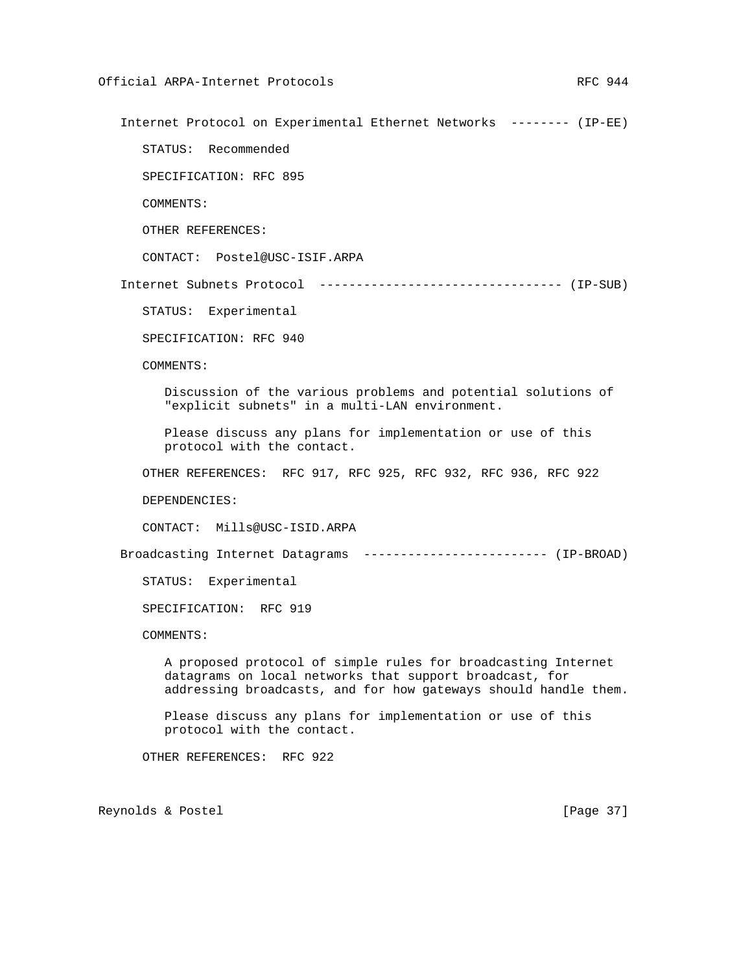Internet Protocol on Experimental Ethernet Networks -------- (IP-EE)

STATUS: Recommended

SPECIFICATION: RFC 895

COMMENTS:

OTHER REFERENCES:

CONTACT: Postel@USC-ISIF.ARPA

Internet Subnets Protocol --------------------------------- (IP-SUB)

STATUS: Experimental

SPECIFICATION: RFC 940

COMMENTS:

 Discussion of the various problems and potential solutions of "explicit subnets" in a multi-LAN environment.

 Please discuss any plans for implementation or use of this protocol with the contact.

OTHER REFERENCES: RFC 917, RFC 925, RFC 932, RFC 936, RFC 922

DEPENDENCIES:

CONTACT: Mills@USC-ISID.ARPA

Broadcasting Internet Datagrams ------------------------- (IP-BROAD)

STATUS: Experimental

SPECIFICATION: RFC 919

COMMENTS:

 A proposed protocol of simple rules for broadcasting Internet datagrams on local networks that support broadcast, for addressing broadcasts, and for how gateways should handle them.

 Please discuss any plans for implementation or use of this protocol with the contact.

OTHER REFERENCES: RFC 922

Reynolds & Postel [Page 37]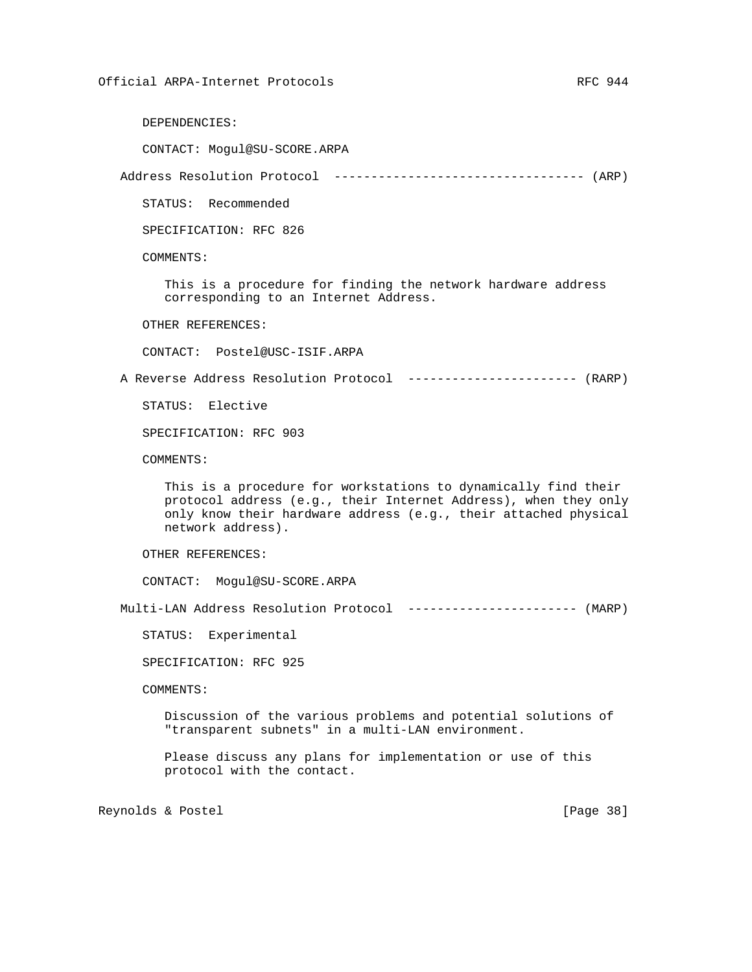DEPENDENCIES:

CONTACT: Mogul@SU-SCORE.ARPA

Address Resolution Protocol ---------------------------------- (ARP)

STATUS: Recommended

SPECIFICATION: RFC 826

COMMENTS:

 This is a procedure for finding the network hardware address corresponding to an Internet Address.

OTHER REFERENCES:

CONTACT: Postel@USC-ISIF.ARPA

A Reverse Address Resolution Protocol ----------------------- (RARP)

STATUS: Elective

SPECIFICATION: RFC 903

COMMENTS:

 This is a procedure for workstations to dynamically find their protocol address (e.g., their Internet Address), when they only only know their hardware address (e.g., their attached physical network address).

OTHER REFERENCES:

CONTACT: Mogul@SU-SCORE.ARPA

Multi-LAN Address Resolution Protocol ----------------------- (MARP)

STATUS: Experimental

SPECIFICATION: RFC 925

COMMENTS:

 Discussion of the various problems and potential solutions of "transparent subnets" in a multi-LAN environment.

 Please discuss any plans for implementation or use of this protocol with the contact.

Reynolds & Postel [Page 38]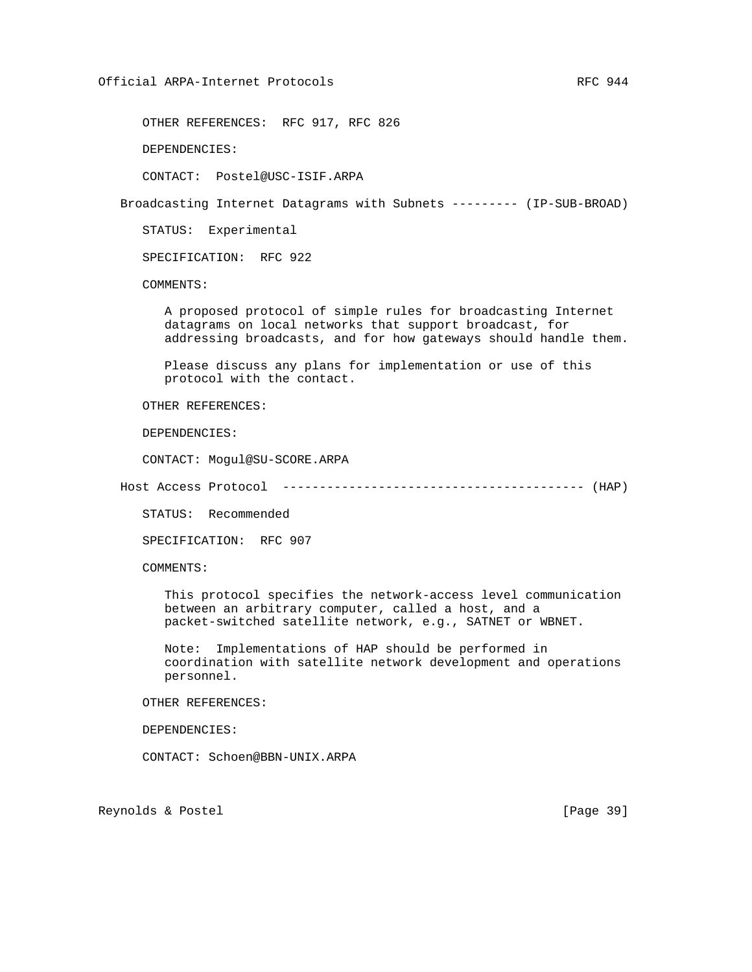OTHER REFERENCES: RFC 917, RFC 826

DEPENDENCIES:

CONTACT: Postel@USC-ISIF.ARPA

Broadcasting Internet Datagrams with Subnets --------- (IP-SUB-BROAD)

STATUS: Experimental

SPECIFICATION: RFC 922

COMMENTS:

 A proposed protocol of simple rules for broadcasting Internet datagrams on local networks that support broadcast, for addressing broadcasts, and for how gateways should handle them.

 Please discuss any plans for implementation or use of this protocol with the contact.

OTHER REFERENCES:

DEPENDENCIES:

CONTACT: Mogul@SU-SCORE.ARPA

Host Access Protocol ----------------------------------------- (HAP)

STATUS: Recommended

SPECIFICATION: RFC 907

COMMENTS:

 This protocol specifies the network-access level communication between an arbitrary computer, called a host, and a packet-switched satellite network, e.g., SATNET or WBNET.

 Note: Implementations of HAP should be performed in coordination with satellite network development and operations personnel.

OTHER REFERENCES:

DEPENDENCIES:

CONTACT: Schoen@BBN-UNIX.ARPA

Reynolds & Postel [Page 39]